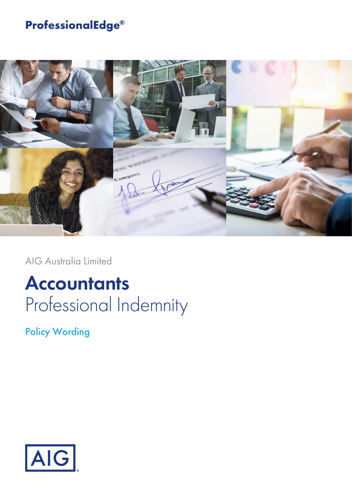## **ProfessionalEdge®**



AIG Australia Limited

# **Accountants** Professional Indemnity

Policy Wording

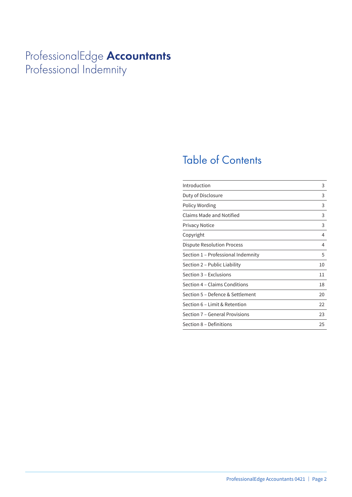## ProfessionalEdge **Accountants** Professional Indemnity

## Table of Contents

| Introduction                       | 3  |
|------------------------------------|----|
| Duty of Disclosure                 | 3  |
| Policy Wording                     | 3  |
| Claims Made and Notified           | 3  |
| <b>Privacy Notice</b>              | 3  |
| Copyright                          | 4  |
| Dispute Resolution Process         | 4  |
| Section 1 - Professional Indemnity | 5  |
| Section 2 - Public Liability       | 10 |
| Section 3 – Exclusions             | 11 |
| Section 4 – Claims Conditions      | 18 |
| Section 5 – Defence & Settlement   | 20 |
| Section 6 - Limit & Retention      | 22 |
| Section 7 – General Provisions     | 23 |
| Section 8 – Definitions            | 25 |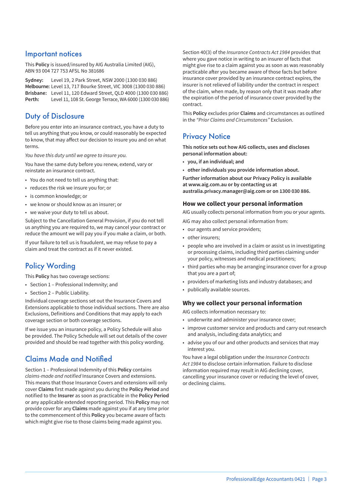### Important notices

This **Policy** is issued/insured by AIG Australia Limited (AIG), ABN 93 004 727 753 AFSL No 381686

**Sydney:** Level 19, 2 Park Street, NSW 2000 (1300 030 886) **Melbourne:** Level 13, 717 Bourke Street, VIC 3008 (1300 030 886) **Brisbane:** Level 11, 120 Edward Street, QLD 4000 (1300 030 886) **Perth:** Level 11, 108 St. George Terrace, WA 6000 (1300 030 886)

### Duty of Disclosure

Before you enter into an insurance contract, you have a duty to tell us anything that you know, or could reasonably be expected to know, that may affect our decision to insure you and on what terms.

*You have this duty until we agree to insure you.*

You have the same duty before you renew, extend, vary or reinstate an insurance contract.

- You do not need to tell us anything that:
- reduces the risk we insure you for; or
- is common knowledge; or
- we know or should know as an insurer; or
- we waive your duty to tell us about.

Subject to the Cancellation General Provision, if you do not tell us anything you are required to, we may cancel your contract or reduce the amount we will pay you if you make a claim, or both.

If your failure to tell us is fraudulent, we may refuse to pay a claim and treat the contract as if it never existed.

## Policy Wording

This **Policy** has two coverage sections:

- Section 1 Professional Indemnity; and
- Section 2 Public Liability.

Individual coverage sections set out the Insurance Covers and Extensions applicable to those individual sections. There are also Exclusions, Definitions and Conditions that may apply to each coverage section or both coverage sections.

If we issue you an insurance policy, a Policy Schedule will also be provided. The Policy Schedule will set out details of the cover provided and should be read together with this policy wording.

## Claims Made and Notified

Section 1 – Professional Indemnity of this **Policy** contains *claims-made and notified* Insurance Covers and extensions. This means that those Insurance Covers and extensions will only cover **Claims** first made against you during the **Policy Period** and notified to the **Insurer** as soon as practicable in the **Policy Period** or any applicable extended reporting period. This **Policy** may not provide cover for any **Claims** made against you if at any time prior to the commencement of this **Policy** you became aware of facts which might give rise to those claims being made against you.

Section 40(3) of the *Insurance Contracts Act 1984* provides that where you gave notice in writing to an insurer of facts that might give rise to a claim against you as soon as was reasonably practicable after you became aware of those facts but before insurance cover provided by an insurance contract expires, the insurer is not relieved of liability under the contract in respect of the claim, when made, by reason only that it was made after the expiration of the period of insurance cover provided by the contract.

This **Policy** excludes prior **Claims** and circumstances as outlined in the *"Prior Claims and Circumstances"* Exclusion.

## **Privacy Notice**

**This notice sets out how AIG collects, uses and discloses personal information about:**

- **you, if an individual; and**
- **other individuals you provide information about.**

**Further information about our Privacy Policy is available at www.aig.com.au or by contacting us at australia.privacy.manager@aig.com or on 1300 030 886.**

#### **How we collect your personal information**

AIG usually collects personal information from you or your agents.

- AIG may also collect personal information from:
- our agents and service providers;
- other insurers;
- people who are involved in a claim or assist us in investigating or processing claims, including third parties claiming under your policy, witnesses and medical practitioners;
- third parties who may be arranging insurance cover for a group that you are a part of;
- providers of marketing lists and industry databases; and
- publically available sources.

#### **Why we collect your personal information**

AIG collects information necessary to:

- underwrite and administer your insurance cover;
- improve customer service and products and carry out research and analysis, including data analytics; and
- advise you of our and other products and services that may interest you.

You have a legal obligation under the *Insurance Contracts Act 1984* to disclose certain information. Failure to disclose information required may result in AIG declining cover, cancelling your insurance cover or reducing the level of cover, or declining claims.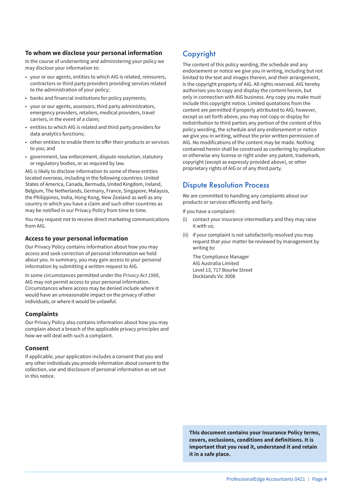#### **To whom we disclose your personal information**

In the course of underwriting and administering your policy we may disclose your information to:

- your or our agents, entities to which AIG is related, reinsurers, contractors or third party providers providing services related to the administration of your policy;
- banks and financial institutions for policy payments;
- your or our agents, assessors, third party administrators, emergency providers, retailers, medical providers, travel carriers, in the event of a claim;
- entities to which AIG is related and third party providers for data analytics functions;
- other entities to enable them to offer their products or services to you; and
- government, law enforcement, dispute resolution, statutory or regulatory bodies, or as required by law.

AIG is likely to disclose information to some of these entities located overseas, including in the following countries: United States of America, Canada, Bermuda, United Kingdom, Ireland, Belgium, The Netherlands, Germany, France, Singapore, Malaysia, the Philippines, India, Hong Kong, New Zealand as well as any country in which you have a claim and such other countries as may be notified in our Privacy Policy from time to time.

You may request not to receive direct marketing communications from AIG.

#### **Access to your personal information**

Our Privacy Policy contains information about how you may access and seek correction of personal information we hold about you. In summary, you may gain access to your personal information by submitting a written request to AIG.

In some circumstances permitted under the *Privacy Act 1988*, AIG may not permit access to your personal information. Circumstances where access may be denied include where it would have an unreasonable impact on the privacy of other individuals, or where it would be unlawful.

#### **Complaints**

Our Privacy Policy also contains information about how you may complain about a breach of the applicable privacy principles and how we will deal with such a complaint.

#### **Consent**

If applicable, your application includes a consent that you and any other individuals you provide information about consent to the collection, use and disclosure of personal information as set out in this notice.

## Copyright

The content of this policy wording, the schedule and any endorsement or notice we give you in writing, including but not limited to the text and images therein, and their arrangement, is the copyright property of AIG. All rights reserved. AIG hereby authorises you to copy and display the content herein, but only in connection with AIG business. Any copy you make must include this copyright notice. Limited quotations from the content are permitted if properly attributed to AIG; however, except as set forth above, you may not copy or display for redistribution to third parties any portion of the content of this policy wording, the schedule and any endorsement or notice we give you in writing, without the prior written permission of AIG. No modifications of the content may be made. Nothing contained herein shall be construed as conferring by implication or otherwise any license or right under any patent, trademark, copyright (except as expressly provided above), or other proprietary rights of AIG or of any third party.

### Dispute Resolution Process

We are committed to handling any complaints about our products or services efficiently and fairly.

If you have a complaint:

- (i) contact your insurance intermediary and they may raise it with us;
- (ii) if your complaint is not satisfactorily resolved you may request that your matter be reviewed by management by writing to:

The Compliance Manager AIG Australia Limited Level 13, 717 Bourke Street Docklands Vic 3008

**This document contains your Insurance Policy terms, covers, exclusions, conditions and definitions. It is important that you read it, understand it and retain it in a safe place.**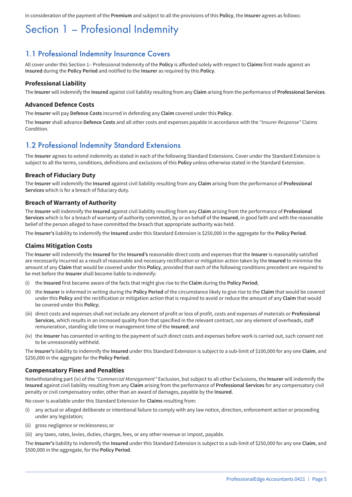In consideration of the payment of the **Premium** and subject to all the provisions of this **Policy**, the **Insurer** agrees as follows:

## Section 1 – Profesional Indemnity

### 1.1 Professional Indemnity Insurance Covers

All cover under this Section 1– Professional Indemnity of the **Policy** is afforded solely with respect to **Claims** first made against an **Insured** during the **Policy Period** and notified to the **Insurer** as required by this **Policy**.

#### **Professional Liability**

The **Insurer** will indemnify the **Insured** against civil liability resulting from any **Claim** arising from the performance of **Professional Services**.

#### **Advanced Defence Costs**

The **Insurer** will pay **Defence Costs** incurred in defending any **Claim** covered under this **Policy**.

The **Insurer** shall advance **Defence Costs** and all other costs and expenses payable in accordance with the *"Insurer Response"* Claims **Condition** 

### 1.2 Professional Indemnity Standard Extensions

The **Insurer** agrees to extend indemnity as stated in each of the following Standard Extensions. Cover under the Standard Extension is subject to all the terms, conditions, definitions and exclusions of this **Policy** unless otherwise stated in the Standard Extension.

#### **Breach of Fiduciary Duty**

The **Insurer** will indemnify the **Insured** against civil liability resulting from any **Claim** arising from the performance of **Professional Services** which is for a breach of fiduciary duty.

#### **Breach of Warranty of Authority**

The **Insurer** will indemnify the **Insured** against civil liability resulting from any **Claim** arising from the performance of **Professional Services** which is for a breach of warranty of authority committed, by or on behalf of the **Insured**, in good faith and with the reasonable belief of the person alleged to have committed the breach that appropriate authority was held.

The **Insurer's** liability to indemnify the **Insured** under this Standard Extension is \$250,000 in the aggregate for the **Policy Period**.

#### **Claims Mitigation Costs**

The **Insurer** will indemnify the **Insured** for the **Insured's** reasonable direct costs and expenses that the **Insurer** is reasonably satisfied are necessarily incurred as a result of reasonable and necessary rectification or mitigation action taken by the **Insured** to minimise the amount of any **Claim** that would be covered under this **Policy**, provided that each of the following conditions precedent are required to be met before the **Insurer** shall become liable to indemnify:

- (i) the **Insured** first became aware of the facts that might give rise to the **Claim** during the **Policy Period**;
- (ii) the **Insurer** is informed in writing during the **Policy Period** of the circumstance likely to give rise to the **Claim** that would be covered under this **Policy** and the rectification or mitigation action that is required to avoid or reduce the amount of any **Claim** that would be covered under this **Policy**;
- (iii) direct costs and expenses shall not include any element of profit or loss of profit, costs and expenses of materials or **Professional Services**, which results in an increased quality from that specified in the relevant contract, nor any element of overheads, staff remuneration, standing idle time or management time of the **Insured**; and
- (iv) the **Insurer** has consented in writing to the payment of such direct costs and expenses before work is carried out, such consent not to be unreasonably withheld.

The **Insurer's** liability to indemnify the **Insured** under this Standard Extension is subject to a sub-limit of \$100,000 for any one **Claim**, and \$250,000 in the aggregate for the **Policy Period**.

#### **Compensatory Fines and Penalties**

Notwithstanding part (iv) of the *"Commercial Management"* Exclusion, but subject to all other Exclusions, the **Insurer** will indemnify the **Insured** against civil liability resulting from any **Claim** arising from the performance of **Professional Services** for any compensatory civil penalty or civil compensatory order, other than an award of damages, payable by the **Insured**.

No cover is available under this Standard Extension for **Claims** resulting from:

- (i) any actual or alleged deliberate or intentional failure to comply with any law notice, direction, enforcement action or proceeding under any legislation;
- (ii) gross negligence or recklessness; or
- (iii) any taxes, rates, levies, duties, charges, fees, or any other revenue or impost, payable.

The **Insurer's** liability to indemnify the **Insured** under this Standard Extension is subject to a sub-limit of \$250,000 for any one **Claim**, and \$500,000 in the aggregate, for the **Policy Period**.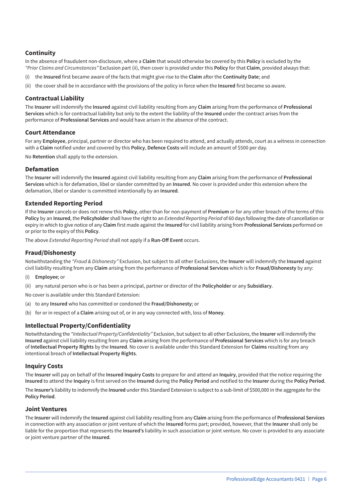#### **Continuity**

In the absence of fraudulent non-disclosure, where a **Claim** that would otherwise be covered by this **Policy** is excluded by the *"Prior Claims and Circumstances"* Exclusion part (ii), then cover is provided under this **Policy** for that **Claim**, provided always that:

- (i) the **Insured** first became aware of the facts that might give rise to the **Claim** after the **Continuity Date**; and
- (ii) the cover shall be in accordance with the provisions of the policy in force when the **Insured** first became so aware.

#### **Contractual Liability**

The **Insurer** will indemnify the **Insured** against civil liability resulting from any **Claim** arising from the performance of **Professional Services** which is for contractual liability but only to the extent the liability of the **Insured** under the contract arises from the performance of **Professional Services** and would have arisen in the absence of the contract.

#### **Court Attendance**

For any **Employee**, principal, partner or director who has been required to attend, and actually attends, court as a witness in connection with a **Claim** notified under and covered by this **Policy**, **Defence Costs** will include an amount of \$500 per day.

No **Retention** shall apply to the extension.

#### **Defamation**

The **Insurer** will indemnify the **Insured** against civil liability resulting from any **Claim** arising from the performance of **Professional Services** which is for defamation, libel or slander committed by an **Insured**. No cover is provided under this extension where the defamation, libel or slander is committed intentionally by an **Insured**.

#### **Extended Reporting Period**

If the **Insurer** cancels or does not renew this **Policy**, other than for non-payment of **Premium** or for any other breach of the terms of this **Policy** by an **Insured**, the **Policyholder** shall have the right to an *Extended Reporting Period* of 60 days following the date of cancellation or expiry in which to give notice of any **Claim** first made against the **Insured** for civil liability arising from **Professional Services** performed on or prior to the expiry of this **Policy**.

The above *Extended Reporting Period* shall not apply if a **Run-Off Event** occurs.

#### **Fraud/Dishonesty**

Notwithstanding the *"Fraud & Dishonesty"* Exclusion, but subject to all other Exclusions, the **Insurer** will indemnify the **Insured** against civil liability resulting from any **Claim** arising from the performance of **Professional Services** which is for **Fraud/Dishonesty** by any:

- (i) **Employee**; or
- (ii) any natural person who is or has been a principal, partner or director of the **Policyholder** or any **Subsidiary**.

No cover is available under this Standard Extension:

- (a) to any **Insured** who has committed or condoned the **Fraud/Dishonesty**; or
- (b) for or in respect of a **Claim** arising out of, or in any way connected with, loss of **Money**.

#### **Intellectual Property/Confidentiality**

Notwithstanding the *"Intellectual Property/Confidentiality"* Exclusion, but subject to all other Exclusions, the **Insurer** will indemnify the **Insured** against civil liability resulting from any **Claim** arising from the performance of **Professional Services** which is for any breach of **Intellectual Property Rights** by the **Insured**. No cover is available under this Standard Extension for **Claims** resulting from any intentional breach of **Intellectual Property Rights**.

#### **Inquiry Costs**

The **Insurer** will pay on behalf of the **Insured Inquiry Costs** to prepare for and attend an **Inquiry**, provided that the notice requiring the **Insured** to attend the **Inquiry** is first served on the **Insured** during the **Policy Period** and notified to the **Insurer** during the **Policy Period**.

The **Insurer's** liability to indemnify the **Insured** under this Standard Extension is subject to a sub-limit of \$500,000 in the aggregate for the **Policy Period**.

#### **Joint Ventures**

The **Insurer** will indemnify the **Insured** against civil liability resulting from any **Claim** arising from the performance of **Professional Services** in connection with any association or joint venture of which the **Insured** forms part; provided, however, that the **Insurer** shall only be liable for the proportion that represents the **Insured's** liability in such association or joint venture. No cover is provided to any associate or joint venture partner of the **Insured**.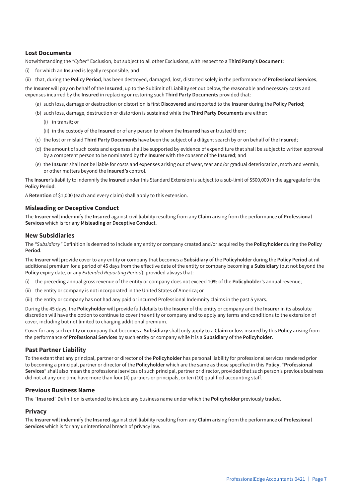#### **Lost Documents**

Notwithstanding the *"Cyber"* Exclusion, but subject to all other Exclusions, with respect to a **Third Party's Document**:

(i) for which an **Insured** is legally responsible, and

(ii) that, during the **Policy Period**, has been destroyed, damaged, lost, distorted solely in the performance of **Professional Services**,

the **Insurer** will pay on behalf of the **Insured**, up to the Sublimit of Liability set out below, the reasonable and necessary costs and expenses incurred by the **Insured** in replacing or restoring such **Third Party Documents** provided that:

- (a) such loss, damage or destruction or distortion is first **Discovered** and reported to the **Insurer** during the **Policy Period**;
- (b) such loss, damage, destruction or distortion is sustained while the **Third Party Documents** are either:
	- (i) in transit; or
	- (ii) in the custody of the **Insured** or of any person to whom the **Insured** has entrusted them;
- (c) the lost or mislaid **Third Party Documents** have been the subject of a diligent search by or on behalf of the **Insured**;
- (d) the amount of such costs and expenses shall be supported by evidence of expenditure that shall be subject to written approval by a competent person to be nominated by the **Insurer** with the consent of the **Insured**; and
- (e) the **Insurer** shall not be liable for costs and expenses arising out of wear, tear and/or gradual deterioration, moth and vermin, or other matters beyond the **Insured's** control.

The **Insurer's** liability to indemnify the **Insured** under this Standard Extension is subject to a sub-limit of \$500,000 in the aggregate for the **Policy Period**.

A **Retention** of \$1,000 (each and every claim) shall apply to this extension.

#### **Misleading or Deceptive Conduct**

The **Insurer** will indemnify the **Insured** against civil liability resulting from any **Claim** arising from the performance of **Professional Services** which is for any **Misleading or Deceptive Conduct**.

#### **New Subsidiaries**

The *"Subsidiary"* Definition is deemed to include any entity or company created and/or acquired by the **Policyholder** during the **Policy Period**.

The **Insurer** will provide cover to any entity or company that becomes a **Subsidiary** of the **Policyholder** during the **Policy Period** at nil additional premium for a period of 45 days from the effective date of the entity or company becoming a **Subsidiary** (but not beyond the **Policy** expiry date, or any *Extended Reporting Period*), provided always that:

- (i) the preceding annual gross revenue of the entity or company does not exceed 10% of the **Policyholder's** annual revenue;
- (ii) the entity or company is not incorporated in the United States of America; or
- (iii) the entity or company has not had any paid or incurred Professional Indemnity claims in the past 5 years.

During the 45 days, the **Policyholder** will provide full details to the **Insurer** of the entity or company and the **Insurer** in its absolute discretion will have the option to continue to cover the entity or company and to apply any terms and conditions to the extension of cover, including but not limited to charging additional premium.

Cover for any such entity or company that becomes a **Subsidiary** shall only apply to a **Claim** or loss insured by this **Policy** arising from the performance of **Professional Services** by such entity or company while it is a **Subsidiary** of the **Policyholder**.

#### **Past Partner Liability**

To the extent that any principal, partner or director of the **Policyholder** has personal liability for professional services rendered prior to becoming a principal, partner or director of the **Policyholder** which are the same as those specified in this **Policy**, "**Professional Services**" shall also mean the professional services of such principal, partner or director, provided that such person's previous business did not at any one time have more than four (4) partners or principals, or ten (10) qualified accounting staff.

#### **Previous Business Name**

The "**Insured**" Definition is extended to include any business name under which the **Policyholder** previously traded.

#### **Privacy**

The **Insurer** will indemnify the **Insured** against civil liability resulting from any **Claim** arising from the performance of **Professional Services** which is for any unintentional breach of privacy law.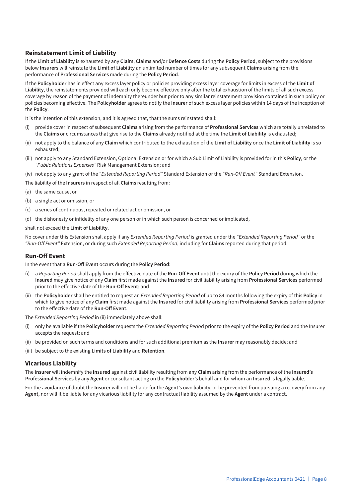#### **Reinstatement Limit of Liability**

If the **Limit of Liability** is exhausted by any **Claim**, **Claims** and/or **Defence Costs** during the **Policy Period**, subject to the provisions below **Insurers** will reinstate the **Limit of Liability** an unlimited number of times for any subsequent **Claims** arising from the performance of **Professional Services** made during the **Policy Period**.

If the **Policyholder** has in effect any excess layer policy or policies providing excess layer coverage for limits in excess of the **Limit of Liability**, the reinstatements provided will each only become effective only after the total exhaustion of the limits of all such excess coverage by reason of the payment of indemnity thereunder but prior to any similar reinstatement provision contained in such policy or policies becoming effective. The **Policyholder** agrees to notify the **Insurer** of such excess layer policies within 14 days of the inception of the **Policy**.

It is the intention of this extension, and it is agreed that, that the sums reinstated shall:

- (i) provide cover in respect of subsequent **Claims** arising from the performance of **Professional Services** which are totally unrelated to the **Claims** or circumstances that give rise to the **Claims** already notified at the time the **Limit of Liability** is exhausted;
- (ii) not apply to the balance of any **Claim** which contributed to the exhaustion of the **Limit of Liability** once the **Limit of Liability** is so exhausted;
- (iii) not apply to any Standard Extension, Optional Extension or for which a Sub Limit of Liability is provided for in this **Policy**, or the *"Public Relations Expenses"* Risk Management Extension; and
- (iv) not apply to any grant of the *"Extended Reporting Period"* Standard Extension or the *"Run-Off Event"* Standard Extension.
- The liability of the **Insurers** in respect of all **Claims** resulting from:
- (a) the same cause, or
- (b) a single act or omission, or
- (c) a series of continuous, repeated or related act or omission, or
- (d) the dishonesty or infidelity of any one person or in which such person is concerned or implicated,

#### shall not exceed the **Limit of Liability**.

No cover under this Extension shall apply if any *Extended Reporting Period* is granted under the *"Extended Reporting Period"* or the *"Run-Off Event"* Extension, or during such *Extended Reporting Period*, including for **Claims** reported during that period.

#### **Run-Off Event**

In the event that a **Run-Off Event** occurs during the **Policy Period**:

- (i) a *Reporting Period* shall apply from the effective date of the **Run-Off Event** until the expiry of the **Policy Period** during which the **Insured** may give notice of any **Claim** first made against the **Insured** for civil liability arising from **Professional Services** performed prior to the effective date of the **Run-Off Event**; and
- (ii) the **Policyholder** shall be entitled to request an *Extended Reporting Period* of up to 84 months following the expiry of this **Policy** in which to give notice of any **Claim** first made against the **Insured** for civil liability arising from **Professional Services** performed prior to the effective date of the **Run-Off Event**.

The *Extended Reporting Period* in (ii) immediately above shall:

- (i) only be available if the **Policyholder** requests the *Extended Reporting Perio*d prior to the expiry of the **Policy Period** and the Insurer accepts the request; and
- (ii) be provided on such terms and conditions and for such additional premium as the **Insurer** may reasonably decide; and
- (iii) be subject to the existing **Limits of Liability** and **Retention**.

#### **Vicarious Liability**

The **Insurer** will indemnify the **Insured** against civil liability resulting from any **Claim** arising from the performance of the **Insured's Professional Services** by any **Agent** or consultant acting on the **Policyholder's** behalf and for whom an **Insured** is legally liable.

For the avoidance of doubt the **Insurer** will not be liable for the **Agent's** own liability, or be prevented from pursuing a recovery from any **Agent**, nor will it be liable for any vicarious liability for any contractual liability assumed by the **Agent** under a contract.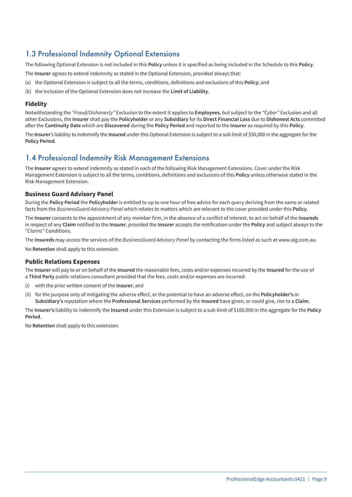### 1.3 Professional Indemnity Optional Extensions

The following Optional Extension is not included in this **Policy** unless it is specified as being included in the Schedule to this **Policy**.

The **Insurer** agrees to extend indemnity as stated in the Optional Extension, provided always that:

- (a) the Optional Extension is subject to all the terms, conditions, definitions and exclusions of this **Policy**; and
- (b) the inclusion of the Optional Extension does not increase the **Limit of Liability**.

#### **Fidelity**

Notwithstanding the *"Fraud/Dishonesty"* Exclusion to the extent it applies to **Employees**, but subject to the *"Cyber"* Exclusion and all other Exclusions, the **Insurer** shall pay the **Policyholder** or any **Subsidiary** for its **Direct Financial Loss** due to **Dishonest Acts** committed after the **Continuity Date** which are **Discovered** during the **Policy Period** and reported to the **Insurer** as required by this **Policy**.

The **Insurer**'s liability to indemnify the **Insured** under this Optional Extension is subject to a sub-limit of \$50,000 in the aggregate for the **Policy Period**.

### 1.4 Professional Indemnity Risk Management Extensions

The **Insurer** agrees to extend indemnity as stated in each of the following Risk Management Extensions. Cover under the Risk Management Extension is subject to all the terms, conditions, definitions and exclusions of this **Policy** unless otherwise stated in the Risk Management Extension.

#### **Business Guard Advisory Panel**

During the **Policy Period** the **Policyholder** is entitled to up to one hour of free advice for each query deriving from the same or related facts from the *BusinessGuard Advisory Panel* which relates to matters which are relevant to the cover provided under this **Policy**.

The **Insurer** consents to the appointment of any member firm, in the absence of a conflict of interest, to act on behalf of the **Insureds** in respect of any **Claim** notified to the **Insurer**, provided the **Insurer** accepts the notification under the **Policy** and subject always to the "*Claims*" Conditions.

The **Insureds** may access the services of the *BusinessGuard Advisory Panel* by contacting the firms listed as such at www.aig.com.au.

No **Retention** shall apply to this extension.

#### **Public Relations Expenses**

The **Insurer** will pay to or on behalf of the **Insured** the reasonable fees, costs and/or expenses incurred by the **Insured** for the use of a **Third Party** public relations consultant provided that the fees, costs and/or expenses are incurred:

- (i) with the prior written consent of the **Insurer**; and
- (ii) for the purpose only of mitigating the adverse effect, or the potential to have an adverse effect, on the **Policyholder's** or **Subsidiary's** reputation where the **Professional Services** performed by the **Insured** have given, or could give, rise to a **Claim**.

The **Insurer's** liability to indemnify the **Insured** under this Extension is subject to a sub-limit of \$100,000 in the aggregate for the **Policy Period**.

No **Retention** shall apply to this extension.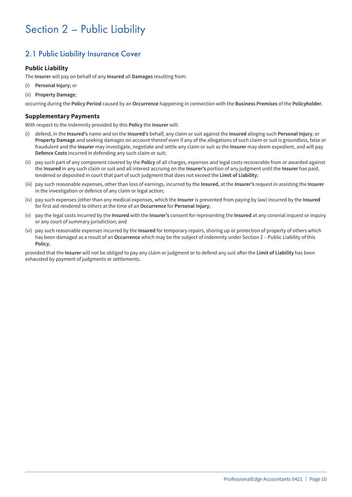## Section 2 – Public Liability

## 2.1 Public Liability Insurance Cover

#### **Public Liability**

The **Insurer** will pay on behalf of any **Insured** all **Damages** resulting from:

- (i) **Personal Injury**; or
- (ii) **Property Damage**;

occurring during the **Policy Period** caused by an **Occurrence** happening in connection with the **Business Premises** of the **Policyholder**.

#### **Supplementary Payments**

With respect to the indemnity provided by this **Policy** the **Insurer** will:

- (i) defend, in the **Insured's** name and on the **Insured's** behalf, any claim or suit against the **Insured** alleging such **Personal Injury**, or **Property Damage** and seeking damages on account thereof even if any of the allegations of such claim or suit is groundless, false or fraudulent and the **Insurer** may investigate, negotiate and settle any claim or suit as the **Insurer** may deem expedient, and will pay **Defence Costs** incurred in defending any such claim or suit;
- (ii) pay such part of any component covered by the **Policy** of all charges, expenses and legal costs recoverable from or awarded against the **Insured** in any such claim or suit and all interest accruing on the **Insurer's** portion of any judgment until the **Insurer** has paid, tendered or deposited in court that part of such judgment that does not exceed the **Limit of Liability**;
- (iii) pay such reasonable expenses, other than loss of earnings, incurred by the **Insured**, at the **Insurer's** request in assisting the **Insurer** in the investigation or defence of any claim or legal action;
- (iv) pay such expenses (other than any medical expenses, which the **Insurer** is prevented from paying by law) incurred by the **Insured** for first aid rendered to others at the time of an **Occurrence** for **Personal Injury**;
- (v) pay the legal costs incurred by the **Insured** with the **Insurer's** consent for representing the **Insured** at any coronial inquest or inquiry or any court of summary jurisdiction; and
- (vi) pay such reasonable expenses incurred by the **Insured** for temporary repairs, shoring up or protection of property of others which has been damaged as a result of an **Occurrence** which may be the subject of indemnity under Section 2 – Public Liability of this **Policy**,

provided that the **Insurer** will not be obliged to pay any claim or judgment or to defend any suit after the **Limit of Liability** has been exhausted by payment of judgments or settlements.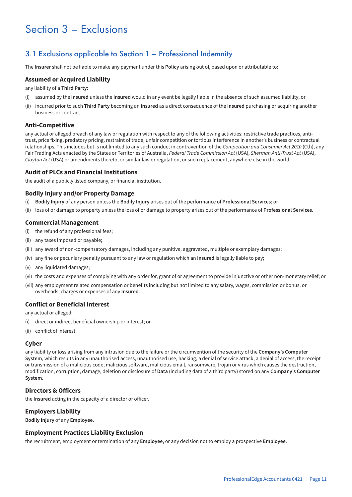## Section 3 – Exclusions

### 3.1 Exclusions applicable to Section 1 – Professional Indemnity

The **Insurer** shall not be liable to make any payment under this **Policy** arising out of, based upon or attributable to:

#### **Assumed or Acquired Liability**

any liability of a **Third Party**:

- (i) assumed by the **Insured** unless the **Insured** would in any event be legally liable in the absence of such assumed liability; or
- (ii) incurred prior to such **Third Party** becoming an **Insured** as a direct consequence of the **Insured** purchasing or acquiring another business or contract.

#### **Anti-Competitive**

any actual or alleged breach of any law or regulation with respect to any of the following activities: restrictive trade practices, antitrust, price fixing, predatory pricing, restraint of trade, unfair competition or tortious interference in another's business or contractual relationships. This includes but is not limited to any such conduct in contravention of the *Competition and Consumer Act 2010* (Cth), any Fair Trading Acts enacted by the States or Territories of Australia, *Federal Trade Commission Act* (USA), *Sherman Anti-Trust Act* (USA), *Clayton Act* (USA) or amendments thereto, or similar law or regulation, or such replacement, anywhere else in the world.

#### **Audit of PLCs and Financial Institutions**

the audit of a publicly listed company, or financial institution.

#### **Bodily Injury and/or Property Damage**

- (i) **Bodily Injury** of any person unless the **Bodily Injury** arises out of the performance of **Professional Services**; or
- (ii) loss of or damage to property unless the loss of or damage to property arises out of the performance of **Professional Services**.

#### **Commercial Management**

- (i) the refund of any professional fees;
- (ii) any taxes imposed or payable;
- (iii) any award of non-compensatory damages, including any punitive, aggravated, multiple or exemplary damages;
- (iv) any fine or pecuniary penalty pursuant to any law or regulation which an **Insured** is legally liable to pay;
- (v) any liquidated damages;
- (vi) the costs and expenses of complying with any order for, grant of or agreement to provide injunctive or other non-monetary relief; or
- (vii) any employment related compensation or benefits including but not limited to any salary, wages, commission or bonus, or overheads, charges or expenses of any **Insured**.

#### **Conflict or Beneficial Interest**

any actual or alleged:

- (i) direct or indirect beneficial ownership or interest; or
- (ii) conflict of interest.

#### **Cyber**

any liability or loss arising from any intrusion due to the failure or the circumvention of the security of the **Company's Computer System**, which results in any unauthorised access, unauthorised use, hacking, a denial of service attack, a denial of access, the receipt or transmission of a malicious code, malicious software, malicious email, ransomware, trojan or virus which causes the destruction, modification, corruption, damage, deletion or disclosure of **Data** (including data of a third party) stored on any **Company's Computer System**.

#### **Directors & Officers**

the **Insured** acting in the capacity of a director or officer.

#### **Employers Liability**

**Bodily Injury** of any **Employee**.

#### **Employment Practices Liability Exclusion**

the recruitment, employment or termination of any **Employee**, or any decision not to employ a prospective **Employee**.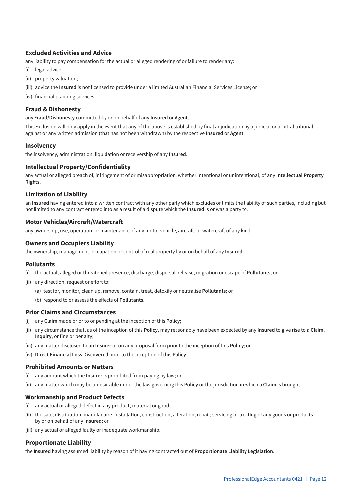#### **Excluded Activities and Advice**

any liability to pay compensation for the actual or alleged rendering of or failure to render any:

- (i) legal advice;
- (ii) property valuation;
- (iii) advice the **Insured** is not licensed to provide under a limited Australian Financial Services License; or
- (iv) financial planning services.

#### **Fraud & Dishonesty**

any **Fraud/Dishonesty** committed by or on behalf of any **Insured** or **Agent**.

This Exclusion will only apply in the event that any of the above is established by final adjudication by a judicial or arbitral tribunal against or any written admission (that has not been withdrawn) by the respective **Insured** or **Agent**.

#### **Insolvency**

the insolvency, administration, liquidation or receivership of any **Insured**.

#### **Intellectual Property/Confidentiality**

any actual or alleged breach of, infringement of or misappropriation, whether intentional or unintentional, of any **Intellectual Property Rights**.

#### **Limitation of Liability**

an **Insured** having entered into a written contract with any other party which excludes or limits the liability of such parties, including but not limited to any contract entered into as a result of a dispute which the **Insured** is or was a party to.

#### **Motor Vehicles/Aircraft/Watercraft**

any ownership, use, operation, or maintenance of any motor vehicle, aircraft, or watercraft of any kind.

#### **Owners and Occupiers Liability**

the ownership, management, occupation or control of real property by or on behalf of any **Insured**.

#### **Pollutants**

- (i) the actual, alleged or threatened presence, discharge, dispersal, release, migration or escape of **Pollutants**; or
- (ii) any direction, request or effort to:
	- (a) test for, monitor, clean up, remove, contain, treat, detoxify or neutralise **Pollutants**; or
	- (b) respond to or assess the effects of **Pollutants**.

#### **Prior Claims and Circumstances**

- (i) any **Claim** made prior to or pending at the inception of this **Policy**;
- (ii) any circumstance that, as of the inception of this **Policy**, may reasonably have been expected by any **Insured** to give rise to a **Claim**, **Inquiry**, or fine or penalty;
- (iii) any matter disclosed to an **Insurer** or on any proposal form prior to the inception of this **Policy**; or
- (iv) **Direct Financial Loss Discovered** prior to the inception of this **Policy**.

#### **Prohibited Amounts or Matters**

- (i) any amount which the **Insurer** is prohibited from paying by law; or
- (ii) any matter which may be uninsurable under the law governing this **Policy** or the jurisdiction in which a **Claim** is brought.

#### **Workmanship and Product Defects**

- (i) any actual or alleged defect in any product, material or good;
- (ii) the sale, distribution, manufacture, installation, construction, alteration, repair, servicing or treating of any goods or products by or on behalf of any **Insured**; or
- (iii) any actual or alleged faulty or inadequate workmanship.

#### **Proportionate Liability**

the **Insured** having assumed liability by reason of it having contracted out of **Proportionate Liability Legislation**.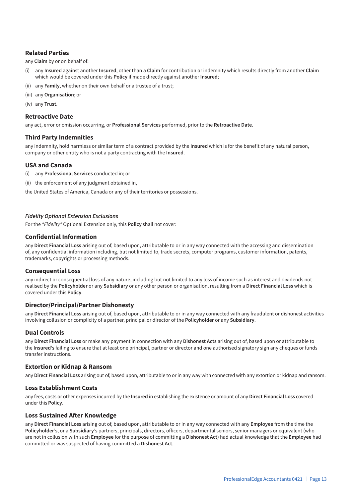#### **Related Parties**

any **Claim** by or on behalf of:

- (i) any **Insured** against another **Insured**, other than a **Claim** for contribution or indemnity which results directly from another **Claim** which would be covered under this **Policy** if made directly against another **Insured**;
- (ii) any **Family**, whether on their own behalf or a trustee of a trust;
- (iii) any **Organisation**; or
- (iv) any **Trust**.

#### **Retroactive Date**

any act, error or omission occurring, or **Professional Services** performed, prior to the **Retroactive Date**.

#### **Third Party Indemnities**

any indemnity, hold harmless or similar term of a contract provided by the **Insured** which is for the benefit of any natural person, company or other entity who is not a party contracting with the **Insured**.

#### **USA and Canada**

- (i) any **Professional Services** conducted in; or
- (ii) the enforcement of any judgment obtained in,

the United States of America, Canada or any of their territories or possessions.

#### *Fidelity Optional Extension Exclusions*

For the *"Fidelity"* Optional Extension only, this **Policy** shall not cover:

#### **Confidential Information**

any **Direct Financial Loss** arising out of, based upon, attributable to or in any way connected with the accessing and dissemination of, any confidential information including, but not limited to, trade secrets, computer programs, customer information, patents, trademarks, copyrights or processing methods.

#### **Consequential Loss**

any indirect or consequential loss of any nature, including but not limited to any loss of income such as interest and dividends not realised by the **Policyholder** or any **Subsidiary** or any other person or organisation, resulting from a **Direct Financial Loss** which is covered under this **Policy**.

#### **Director/Principal/Partner Dishonesty**

any **Direct Financial Loss** arising out of, based upon, attributable to or in any way connected with any fraudulent or dishonest activities involving collusion or complicity of a partner, principal or director of the **Policyholder** or any **Subsidiary**.

#### **Dual Controls**

any **Direct Financial Loss** or make any payment in connection with any **Dishonest Acts** arising out of, based upon or attributable to the **Insured's** failing to ensure that at least one principal, partner or director and one authorised signatory sign any cheques or funds transfer instructions.

#### **Extortion or Kidnap & Ransom**

any **Direct Financial Loss** arising out of, based upon, attributable to or in any way with connected with any extortion or kidnap and ransom.

#### **Loss Establishment Costs**

any fees, costs or other expenses incurred by the **Insured** in establishing the existence or amount of any **Direct Financial Loss** covered under this **Policy**.

#### **Loss Sustained After Knowledge**

any **Direct Financial Loss** arising out of, based upon, attributable to or in any way connected with any **Employee** from the time the **Policyholder's**, or a **Subsidiary's** partners, principals, directors, officers, departmental seniors, senior managers or equivalent (who are not in collusion with such **Employee** for the purpose of committing a **Dishonest Act**) had actual knowledge that the **Employee** had committed or was suspected of having committed a **Dishonest Act**.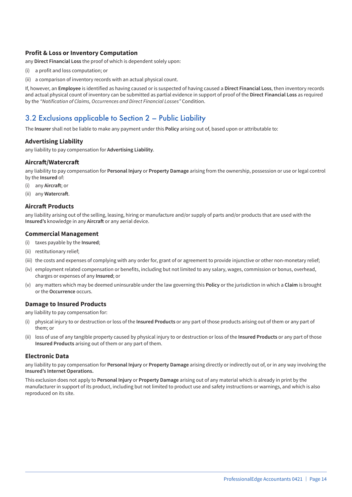#### **Profit & Loss or Inventory Computation**

any **Direct Financial Loss** the proof of which is dependent solely upon:

- (i) a profit and loss computation; or
- (ii) a comparison of inventory records with an actual physical count.

If, however, an **Employee** is identified as having caused or is suspected of having caused a **Direct Financial Loss**, then inventory records and actual physical count of inventory can be submitted as partial evidence in support of proof of the **Direct Financial Loss** as required by the *"Notification of Claims, Occurrences and Direct Financial Losses"* Condition.

## 3.2 Exclusions applicable to Section 2 – Public Liability

The **Insurer** shall not be liable to make any payment under this **Policy** arising out of, based upon or attributable to:

#### **Advertising Liability**

any liability to pay compensation for **Advertising Liability**.

#### **Aircraft/Watercraft**

any liability to pay compensation for **Personal Injury** or **Property Damage** arising from the ownership, possession or use or legal control by the **Insured** of:

- (i) any **Aircraft**; or
- (ii) any **Watercraft**.

#### **Aircraft Products**

any liability arising out of the selling, leasing, hiring or manufacture and/or supply of parts and/or products that are used with the **Insured's** knowledge in any **Aircraft** or any aerial device.

#### **Commercial Management**

- (i) taxes payable by the **Insured**;
- (ii) restitutionary relief;
- (iii) the costs and expenses of complying with any order for, grant of or agreement to provide injunctive or other non-monetary relief;
- (iv) employment related compensation or benefits, including but not limited to any salary, wages, commission or bonus, overhead, charges or expenses of any **Insured**; or
- (v) any matters which may be deemed uninsurable under the law governing this **Policy** or the jurisdiction in which a **Claim** is brought or the **Occurrence** occurs.

#### **Damage to Insured Products**

any liability to pay compensation for:

- (i) physical injury to or destruction or loss of the **Insured Products** or any part of those products arising out of them or any part of them; or
- (ii) loss of use of any tangible property caused by physical injury to or destruction or loss of the **Insured Products** or any part of those **Insured Products** arising out of them or any part of them.

#### **Electronic Data**

any liability to pay compensation for **Personal Injury** or **Property Damage** arising directly or indirectly out of, or in any way involving the **Insured's Internet Operations.**

This exclusion does not apply to **Personal Injury** or **Property Damage** arising out of any material which is already in print by the manufacturer in support of its product, including but not limited to product use and safety instructions or warnings, and which is also reproduced on its site.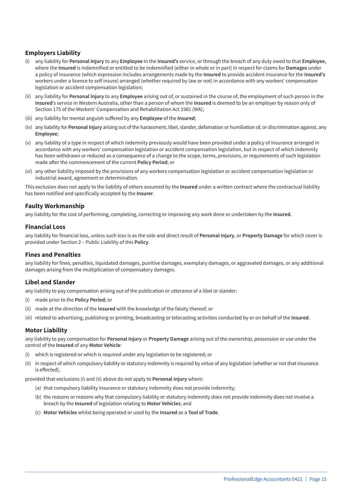#### **Employers Liability**

- (i) any liability for **Personal Injury** to any **Employee** in the **Insured's** service, or through the breach of any duty owed to that **Employee,** where the **Insured** is indemnified or entitled to be indemnified (either in whole or in part) in respect for claims for **Damages** under a policy of insurance (which expression includes arrangements made by the **Insured** to provide accident insurance for the **Insured's** workers under a licence to self insure) arranged (whether required by law or not) in accordance with any workers' compensation legislation or accident compensation legislation;
- (ii) any liability for **Personal Injury** to any **Employee** arising out of, or sustained in the course of, the employment of such person in the **Insured**'s service in Western Australia, other than a person of whom the **Insured** is deemed to be an employer by reason only of Section 175 of the Workers' Compensation and Rehabilitation Act 1981 (WA);
- (iii) any liability for mental anguish suffered by any **Employee** of the **Insured**;
- (iv) any liability for **Personal Injury** arising out of the harassment, libel, slander, defamation or humiliation of, or discrimination against, any **Employee**;
- (v) any liability of a type in respect of which indemnity previously would have been provided under a policy of insurance arranged in accordance with any workers' compensation legislation or accident compensation legislation, but in respect of which indemnity has been withdrawn or reduced as a consequence of a change to the scope, terms, provisions, or requirements of such legislation made after the commencement of the current **Policy Period**; or
- (vi) any other liability imposed by the provisions of any workers compensation legislation or accident compensation legislation or industrial award, agreement or determination.

This exclusion does not apply to the liability of others assumed by the **Insured** under a written contract where the contractual liability has been notified and specifically accepted by the **Insurer**.

#### **Faulty Workmanship**

any liability for the cost of performing, completing, correcting or improving any work done or undertaken by the **Insured**.

#### **Financial Loss**

any liability for financial loss, unless such loss is as the sole and direct result of **Personal Injury**, or **Property Damage** for which cover is provided under Section 2 – Public Liability of this **Policy**.

#### **Fines and Penalties**

any liability for fines, penalties, liquidated damages, punitive damages, exemplary damages, or aggravated damages, or any additional damages arising from the multiplication of compensatory damages.

#### **Libel and Slander**

any liability to pay compensation arising out of the publication or utterance of a libel or slander:

- (i) made prior to the **Policy Period**; or
- (ii) made at the direction of the **Insured** with the knowledge of the falsity thereof; or
- (iii) related to advertising, publishing or printing, broadcasting or telecasting activities conducted by or on behalf of the **Insured**.

#### **Motor Liability**

any liability to pay compensation for **Personal Injury** or **Property Damage** arising out of the ownership, possession or use under the control of the **Insured** of any **Motor Vehicle**:

- (i) which is registered or which is required under any legislation to be registered; or
- (ii) in respect of which compulsory liability or statutory indemnity is required by virtue of any legislation (whether or not that insurance is effected),

provided that exclusions (i) and (ii) above do not apply to **Personal Injury** where:

- (a) that compulsory liability insurance or statutory indemnity does not provide indemnity;
- (b) the reasons or reasons why that compulsory liability or statutory indemnity does not provide indemnity does not involve a breach by the **Insured** of legislation relating to **Motor Vehicles**; and
- (c) **Motor Vehicles** whilst being operated or used by the **Insured** as a **Tool of Trade**.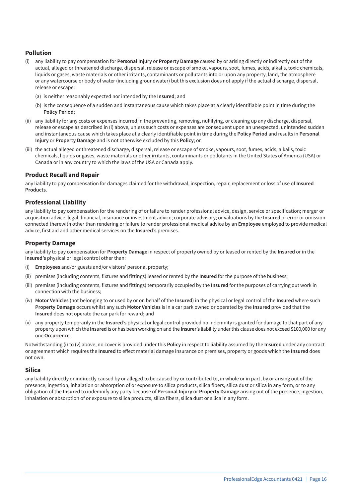#### **Pollution**

- (i) any liability to pay compensation for **Personal Injury** or **Property Damage** caused by or arising directly or indirectly out of the actual, alleged or threatened discharge, dispersal, release or escape of smoke, vapours, soot, fumes, acids, alkalis, toxic chemicals, liquids or gases, waste materials or other irritants, contaminants or pollutants into or upon any property, land, the atmosphere or any watercourse or body of water (including groundwater) but this exclusion does not apply if the actual discharge, dispersal, release or escape:
	- (a) is neither reasonably expected nor intended by the **Insured**; and
	- (b) is the consequence of a sudden and instantaneous cause which takes place at a clearly identifiable point in time during the **Policy Period**;
- (ii) any liability for any costs or expenses incurred in the preventing, removing, nullifying, or cleaning up any discharge, dispersal, release or escape as described in (i) above, unless such costs or expenses are consequent upon an unexpected, unintended sudden and instantaneous cause which takes place at a clearly identifiable point in time during the **Policy Period** and results in **Personal Injury** or **Property Damage** and is not otherwise excluded by this **Policy**; or
- (iii) the actual alleged or threatened discharge, dispersal, release or escape of smoke, vapours, soot, fumes, acids, alkalis, toxic chemicals, liquids or gases, waste materials or other irritants, contaminants or pollutants in the United States of America (USA) or Canada or in any country to which the laws of the USA or Canada apply.

#### **Product Recall and Repair**

any liability to pay compensation for damages claimed for the withdrawal, inspection, repair, replacement or loss of use of **Insured Products**.

#### **Professional Liability**

any liability to pay compensation for the rendering of or failure to render professional advice, design, service or specification; merger or acquisition advice; legal, financial, insurance or investment advice; corporate advisory; or valuations by the **Insured** or error or omission connected therewith other than rendering or failure to render professional medical advice by an **Employee** employed to provide medical advice, first aid and other medical services on the **Insured's** premises.

#### **Property Damage**

any liability to pay compensation for **Property Damage** in respect of property owned by or leased or rented by the **Insured** or in the **Insured's** physical or legal control other than:

- (i) **Employees** and/or guests and/or visitors' personal property;
- (ii) premises (including contents, fixtures and fittings) leased or rented by the **Insured** for the purpose of the business;
- (iii) premises (including contents, fixtures and fittings) temporarily occupied by the **Insured** for the purposes of carrying out work in connection with the business;
- (iv) **Motor Vehicles** (not belonging to or used by or on behalf of the **Insured**) in the physical or legal control of the **Insured** where such **Property Damage** occurs whilst any such **Motor Vehicles** is in a car park owned or operated by the **Insured** provided that the **Insured** does not operate the car park for reward; and
- (v) any property temporarily in the **Insured's** physical or legal control provided no indemnity is granted for damage to that part of any property upon which the **Insured** is or has been working on and the **Insurer's** liability under this clause does not exceed \$100,000 for any one **Occurrence**.

Notwithstanding (i) to (v) above, no cover is provided under this **Policy** in respect to liability assumed by the **Insured** under any contract or agreement which requires the **Insured** to effect material damage insurance on premises, property or goods which the **Insured** does not own.

#### **Silica**

any liability directly or indirectly caused by or alleged to be caused by or contributed to, in whole or in part, by or arising out of the presence, ingestion, inhalation or absorption of or exposure to silica products, silica fibers, silica dust or silica in any form, or to any obligation of the **Insured** to indemnify any party because of **Personal Injury** or **Property Damage** arising out of the presence, ingestion, inhalation or absorption of or exposure to silica products, silica fibers, silica dust or silica in any form.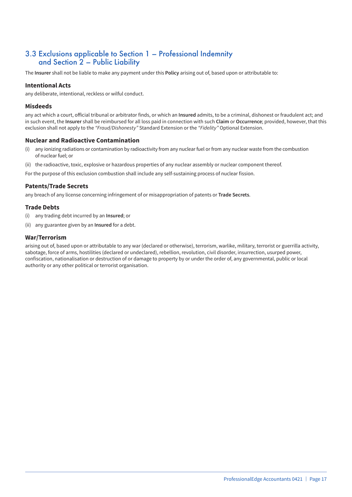### 3.3 Exclusions applicable to Section 1 – Professional Indemnity and Section 2 – Public Liability

The **Insurer** shall not be liable to make any payment under this **Policy** arising out of, based upon or attributable to:

#### **Intentional Acts**

any deliberate, intentional, reckless or wilful conduct.

#### **Misdeeds**

any act which a court, official tribunal or arbitrator finds, or which an **Insured** admits, to be a criminal, dishonest or fraudulent act; and in such event, the **Insurer** shall be reimbursed for all loss paid in connection with such **Claim** or **Occurrence**; provided, however, that this exclusion shall not apply to the *"Fraud/Dishonesty"* Standard Extension or the *"Fidelity"* Optional Extension.

#### **Nuclear and Radioactive Contamination**

- (i) any ionizing radiations or contamination by radioactivity from any nuclear fuel or from any nuclear waste from the combustion of nuclear fuel; or
- (ii) the radioactive, toxic, explosive or hazardous properties of any nuclear assembly or nuclear component thereof.
- For the purpose of this exclusion combustion shall include any self-sustaining process of nuclear fission.

#### **Patents/Trade Secrets**

any breach of any license concerning infringement of or misappropriation of patents or **Trade Secrets**.

#### **Trade Debts**

- (i) any trading debt incurred by an **Insured**; or
- (ii) any guarantee given by an **Insured** for a debt.

#### **War/Terrorism**

arising out of, based upon or attributable to any war (declared or otherwise), terrorism, warlike, military, terrorist or guerrilla activity, sabotage, force of arms, hostilities (declared or undeclared), rebellion, revolution, civil disorder, insurrection, usurped power, confiscation, nationalisation or destruction of or damage to property by or under the order of, any governmental, public or local authority or any other political or terrorist organisation.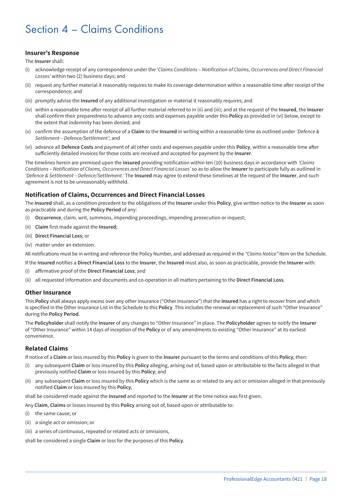## Section 4 – Claims Conditions

#### **Insurer's Response**

The **Insurer** shall:

- (i) acknowledge receipt of any correspondence under the '*Claims Conditions Notification of Claims, Occurrences and Direct Financial Losses'* within two (2) business days; and
- (ii) request any further material it reasonably requires to make its coverage determination within a reasonable time after receipt of the correspondence; and
- (iii) promptly advise the **Insured** of any additional investigation or material it reasonably requires; and
- (iv) within a reasonable time after receipt of all further material referred to in (ii) and (iii); and at the request of the **Insured**, the **Insurer** shall confirm their preparedness to advance any costs and expenses payable under this **Policy** as provided in (vi) below, except to the extent that indemnity has been denied; and
- (v) confirm the assumption of the defence of a **Claim** to the **Insured** in writing within a reasonable time as outlined under *'Defence & Settlement – Defence/Settlement'*; and
- (vi) advance all **Defence Costs** and payment of all other costs and expenses payable under this **Policy**, within a reasonable time after sufficiently detailed invoices for those costs are received and accepted for payment by the **Insurer**.

The timelines herein are premised upon the **Insured** providing notification within ten (10) business days in accordance with *'Claims Conditions – Notification of Claims, Occurrences and Direct Financial Losses'* so as to allow the **Insurer** to participate fully as outlined in *'Defence & Settlement – Defence/Settlement.'* The **Insured** may agree to extend these timelines at the request of the **Insurer**, and such agreement is not to be unreasonably withheld.

#### **Notification of Claims, Occurrences and Direct Financial Losses**

The **Insured** shall, as a condition precedent to the obligations of the **Insurer** under this **Policy**, give written notice to the **Insurer** as soon as practicable and during the **Policy Period** of any:

- (i) **Occurrence**, claim, writ, summons, impending proceedings, impending prosecution or inquest;
- (ii) **Claim** first made against the **Insured**;
- (iii) **Direct Financial Loss**; or
- (iv) matter under an extension.

All notifications must be in writing and reference the Policy Number, and addressed as required in the *"Claims Notice"* Item on the Schedule.

If the **Insured** notifies a **Direct Financial Loss** to the **Insurer**, the **Insured** must also, as soon as practicable, provide the **Insurer** with:

- (i) affirmative proof of the **Direct Financial Loss**; and
- (ii) all requested information and documents and co-operation in all matters pertaining to the **Direct Financial Loss**.

#### **Other Insurance**

This **Policy** shall always apply excess over any other insurance ("Other Insurance") that the **Insured** has a right to recover from and which is specified in the Other Insurance List in the Schedule to this **Policy**. This includes the renewal or replacement of such "Other Insurance" during the **Policy Period**.

The **Policyholder** shall notify the **Insurer** of any changes to "Other Insurance" in place. The **Policyholder** agrees to notify the **Insurer** of "Other Insurance" within 14 days of inception of the **Policy** or of any amendments to existing "Other Insurance" at its earliest convenience.

#### **Related Claims**

If notice of a **Claim** or loss insured by this **Policy** is given to the **Insurer** pursuant to the terms and conditions of this **Policy**, then:

- (i) any subsequent **Claim** or loss insured by this **Policy** alleging, arising out of, based upon or attributable to the facts alleged in that previously notified **Claim** or loss insured by this **Policy**; and
- (ii) any subsequent **Claim** or loss insured by this **Policy** which is the same as or related to any act or omission alleged in that previously notified **Claim** or loss insured by this **Policy**,

shall be considered made against the **Insured** and reported to the **Insurer** at the time notice was first given.

Any **Claim**, **Claims** or losses insured by this **Policy** arising out of, based upon or attributable to:

- (i) the same cause; or
- (ii) a single act or omission; or
- (iii) a series of continuous, repeated or related acts or omissions,

shall be considered a single **Claim** or loss for the purposes of this **Policy**.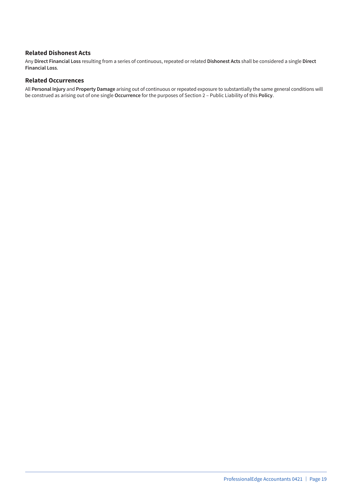#### **Related Dishonest Acts**

Any **Direct Financial Loss** resulting from a series of continuous, repeated or related **Dishonest Acts** shall be considered a single **Direct Financial Loss**.

#### **Related Occurrences**

All **Personal Injury** and **Property Damage** arising out of continuous or repeated exposure to substantially the same general conditions will be construed as arising out of one single **Occurrence** for the purposes of Section 2 – Public Liability of this **Policy**.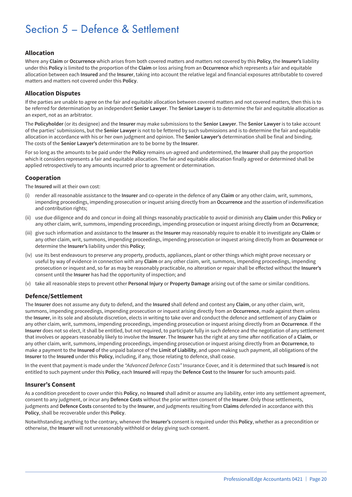## Section 5 – Defence & Settlement

#### **Allocation**

Where any **Claim** or **Occurrence** which arises from both covered matters and matters not covered by this **Policy**, the **Insurer's** liability under this **Policy** is limited to the proportion of the **Claim** or loss arising from an **Occurrence** which represents a fair and equitable allocation between each **Insured** and the **Insurer**, taking into account the relative legal and financial exposures attributable to covered matters and matters not covered under this **Policy**.

#### **Allocation Disputes**

If the parties are unable to agree on the fair and equitable allocation between covered matters and not covered matters, then this is to be referred for determination by an independent **Senior Lawyer**. The **Senior Lawyer** is to determine the fair and equitable allocation as an expert, not as an arbitrator.

The **Policyholder** (or its designee) and the **Insurer** may make submissions to the **Senior Lawyer**. The **Senior Lawyer** is to take account of the parties' submissions, but the **Senior Lawyer** is not to be fettered by such submissions and is to determine the fair and equitable allocation in accordance with his or her own judgment and opinion. The **Senior Lawyer's** determination shall be final and binding. The costs of the **Senior Lawyer's** determination are to be borne by the **Insurer**.

For so long as the amounts to be paid under the **Policy** remains un-agreed and undetermined, the **Insurer** shall pay the proportion which it considers represents a fair and equitable allocation. The fair and equitable allocation finally agreed or determined shall be applied retrospectively to any amounts incurred prior to agreement or determination.

#### **Cooperation**

The **Insured** will at their own cost:

- (i) render all reasonable assistance to the **Insurer** and co-operate in the defence of any **Claim** or any other claim, writ, summons, impending proceedings, impending prosecution or inquest arising directly from an **Occurrence** and the assertion of indemnification and contribution rights;
- (ii) use due diligence and do and concur in doing all things reasonably practicable to avoid or diminish any **Claim** under this **Policy** or any other claim, writ, summons, impending proceedings, impending prosecution or inquest arising directly from an **Occurrence**;
- (iii) give such information and assistance to the **Insurer** as the **Insurer** may reasonably require to enable it to investigate any **Claim** or any other claim, writ, summons, impending proceedings, impending prosecution or inquest arising directly from an **Occurrence** or determine the **Insurer's** liability under this **Policy**;
- (iv) use its best endeavours to preserve any property, products, appliances, plant or other things which might prove necessary or useful by way of evidence in connection with any **Claim** or any other claim, writ, summons, impending proceedings, impending prosecution or inquest and, so far as may be reasonably practicable, no alteration or repair shall be effected without the **Insurer's** consent until the **Insurer** has had the opportunity of inspection; and
- (v) take all reasonable steps to prevent other **Personal Injury** or **Property Damage** arising out of the same or similar conditions.

#### **Defence/Settlement**

The **Insurer** does not assume any duty to defend, and the **Insured** shall defend and contest any **Claim**, or any other claim, writ, summons, impending proceedings, impending prosecution or inquest arising directly from an **Occurrence**, made against them unless the **Insurer**, in its sole and absolute discretion, elects in writing to take over and conduct the defence and settlement of any **Claim** or any other claim, writ, summons, impending proceedings, impending prosecution or inquest arising directly from an **Occurrence**. If the **Insurer** does not so elect, it shall be entitled, but not required, to participate fully in such defence and the negotiation of any settlement that involves or appears reasonably likely to involve the **Insurer**. The **Insurer** has the right at any time after notification of a **Claim**, or any other claim, writ, summons, impending proceedings, impending prosecution or inquest arising directly from an **Occurrence**, to make a payment to the **Insured** of the unpaid balance of the **Limit of Liability**, and upon making such payment, all obligations of the **Insurer** to the **Insured** under this **Policy**, including, if any, those relating to defence, shall cease.

In the event that payment is made under the *"Advanced Defence Costs"* Insurance Cover, and it is determined that such **Insured** is not entitled to such payment under this **Policy**, each **Insured** will repay the **Defence Cost** to the **Insurer** for such amounts paid.

#### **Insurer's Consent**

As a condition precedent to cover under this **Policy**, no **Insured** shall admit or assume any liability, enter into any settlement agreement, consent to any judgment, or incur any **Defence Costs** without the prior written consent of the **Insurer**. Only those settlements, judgments and **Defence Costs** consented to by the **Insurer**, and judgments resulting from **Claims** defended in accordance with this **Policy**, shall be recoverable under this **Policy**.

Notwithstanding anything to the contrary, whenever the **Insurer's** consent is required under this **Policy**, whether as a precondition or otherwise, the **Insurer** will not unreasonably withhold or delay giving such consent.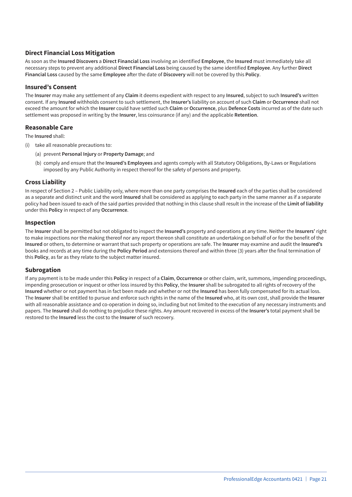#### **Direct Financial Loss Mitigation**

As soon as the **Insured Discovers** a **Direct Financial Loss** involving an identified **Employee**, the **Insured** must immediately take all necessary steps to prevent any additional **Direct Financial Loss** being caused by the same identified **Employee**. Any further **Direct Financial Loss** caused by the same **Employee** after the date of **Discovery** will not be covered by this **Policy**.

#### **Insured's Consent**

The **Insurer** may make any settlement of any **Claim** it deems expedient with respect to any **Insured**, subject to such **Insured's** written consent. If any **Insured** withholds consent to such settlement, the **Insurer's** liability on account of such **Claim** or **Occurrence** shall not exceed the amount for which the **Insurer** could have settled such **Claim** or **Occurrence**, plus **Defence Costs** incurred as of the date such settlement was proposed in writing by the **Insurer**, less coinsurance (if any) and the applicable **Retention**.

#### **Reasonable Care**

The **Insured** shall:

- (i) take all reasonable precautions to:
	- (a) prevent **Personal Injury** or **Property Damage**; and
	- (b) comply and ensure that the **Insured's Employees** and agents comply with all Statutory Obligations, By-Laws or Regulations imposed by any Public Authority in respect thereof for the safety of persons and property.

#### **Cross Liability**

In respect of Section 2 – Public Liability only, where more than one party comprises the **Insured** each of the parties shall be considered as a separate and distinct unit and the word **Insured** shall be considered as applying to each party in the same manner as if a separate policy had been issued to each of the said parties provided that nothing in this clause shall result in the increase of the **Limit of liability** under this **Policy** in respect of any **Occurrence**.

#### **Inspection**

The **Insurer** shall be permitted but not obligated to inspect the **Insured's** property and operations at any time. Neither the **Insurers'** right to make inspections nor the making thereof nor any report thereon shall constitute an undertaking on behalf of or for the benefit of the **Insured** or others, to determine or warrant that such property or operations are safe. The **Insurer** may examine and audit the **Insured's** books and records at any time during the **Policy Period** and extensions thereof and within three (3) years after the final termination of this **Policy**, as far as they relate to the subject matter insured.

#### **Subrogation**

If any payment is to be made under this **Policy** in respect of a **Claim**, **Occurrence** or other claim, writ, summons, impending proceedings, impending prosecution or inquest or other loss insured by this **Policy**, the **Insurer** shall be subrogated to all rights of recovery of the **Insured** whether or not payment has in fact been made and whether or not the **Insured** has been fully compensated for its actual loss. The **Insurer** shall be entitled to pursue and enforce such rights in the name of the **Insured** who, at its own cost, shall provide the **Insurer** with all reasonable assistance and co-operation in doing so, including but not limited to the execution of any necessary instruments and papers. The **Insured** shall do nothing to prejudice these rights. Any amount recovered in excess of the **Insurer's** total payment shall be restored to the **Insured** less the cost to the **Insurer** of such recovery.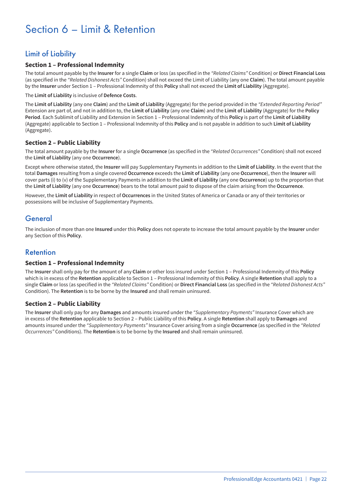## Section 6 – Limit & Retention

## Limit of Liability

#### **Section 1 – Professional Indemnity**

The total amount payable by the **Insurer** for a single **Claim** or loss (as specified in the *"Related Claims"* Condition) or **Direct Financial Loss** (as specified in the *"Related Dishonest Acts"* Condition) shall not exceed the Limit of Liability (any one **Claim**). The total amount payable by the **Insurer** under Section 1 – Professional Indemnity of this **Policy** shall not exceed the **Limit of Liability** (Aggregate).

The **Limit of Liability** is inclusive of **Defence Costs**.

The **Limit of Liability** (any one **Claim**) and the **Limit of Liability** (Aggregate) for the period provided in the *"Extended Reporting Period"* Extension are part of, and not in addition to, the **Limit of Liability** (any one **Claim**) and the **Limit of Liability** (Aggregate) for the **Policy Period**. Each Sublimit of Liability and Extension in Section 1 – Professional Indemnity of this **Policy** is part of the **Limit of Liability** (Aggregate) applicable to Section 1 – Professional Indemnity of this **Policy** and is not payable in addition to such **Limit of Liability** (Aggregate).

#### **Section 2 – Public Liability**

The total amount payable by the **Insurer** for a single **Occurrence** (as specified in the *"Related Occurrences"* Condition) shall not exceed the **Limit of Liability** (any one **Occurrence**).

Except where otherwise stated, the **Insurer** will pay Supplementary Payments in addition to the **Limit of Liability**. In the event that the total **Damages** resulting from a single covered **Occurrence** exceeds the **Limit of Liability** (any one **Occurrence**), then the **Insurer** will cover parts (i) to (v) of the Supplementary Payments in addition to the **Limit of Liability** (any one **Occurrence**) up to the proportion that the **Limit of Liability** (any one **Occurrence**) bears to the total amount paid to dispose of the claim arising from the **Occurrence**.

However, the **Limit of Liability** in respect of **Occurrences** in the United States of America or Canada or any of their territories or possessions will be inclusive of Supplementary Payments.

### **General**

The inclusion of more than one **Insured** under this **Policy** does not operate to increase the total amount payable by the **Insurer** under any Section of this **Policy**.

### Retention

#### **Section 1 – Professional Indemnity**

The **Insurer** shall only pay for the amount of any **Claim** or other loss insured under Section 1 – Professional Indemnity of this **Policy** which is in excess of the **Retention** applicable to Section 1 – Professional Indemnity of this **Policy**. A single **Retention** shall apply to a single **Claim** or loss (as specified in the *"Related Claims"* Condition) or **Direct Financial Loss** (as specified in the *"Related Dishonest Acts"* Condition). The **Retention** is to be borne by the **Insured** and shall remain uninsured.

#### **Section 2 – Public Liability**

The **Insurer** shall only pay for any **Damages** and amounts insured under the *"Supplementary Payments"* Insurance Cover which are in excess of the **Retention** applicable to Section 2 – Public Liability of this **Policy**. A single **Retention** shall apply to **Damages** and amounts insured under the *"Supplementary Payments"* Insurance Cover arising from a single **Occurrence** (as specified in the *"Related Occurrences"* Conditions). The **Retention** is to be borne by the **Insured** and shall remain uninsured.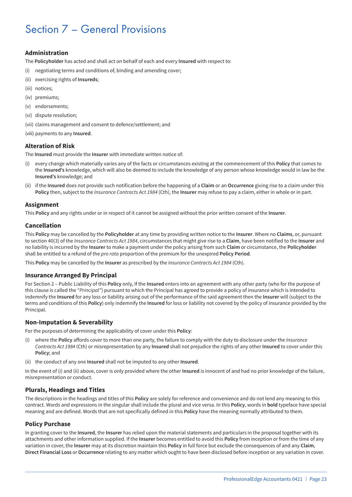## Section 7 – General Provisions

#### **Administration**

The **Policyholder** has acted and shall act on behalf of each and every **Insured** with respect to:

- (i) negotiating terms and conditions of, binding and amending cover;
- (ii) exercising rights of **Insureds**;
- (iii) notices;
- (iv) premiums;
- (v) endorsements;
- (vi) dispute resolution;
- (vii) claims management and consent to defence/settlement; and
- (viii) payments to any **Insured**.

#### **Alteration of Risk**

The **Insured** must provide the **Insurer** with immediate written notice of:

- (i) every change which materially varies any of the facts or circumstances existing at the commencement of this **Policy** that comes to the **Insured's** knowledge, which will also be deemed to include the knowledge of any person whose knowledge would in law be the **Insured's** knowledge; and
- (ii) if the **Insured** does not provide such notification before the happening of a **Claim** or an **Occurrence** giving rise to a claim under this **Policy** then, subject to the *Insurance Contracts Act 1984* (Cth), the **Insurer** may refuse to pay a claim, either in whole or in part.

#### **Assignment**

This **Policy** and any rights under or in respect of it cannot be assigned without the prior written consent of the **Insurer**.

#### **Cancellation**

This **Policy** may be cancelled by the **Policyholder** at any time by providing written notice to the **Insurer**. Where no **Claims**, or, pursuant to section 40(3) of the *Insurance Contracts Act 1984*, circumstances that might give rise to a **Claim**, have been notified to the **Insurer** and no liability is incurred by the **Insurer** to make a payment under the policy arising from such **Claim** or circumstance, the **Policyholder** shall be entitled to a refund of the *pro rata* proportion of the premium for the unexpired **Policy Period**.

This **Policy** may be cancelled by the **Insurer** as prescribed by the *Insurance Contracts Act 1984* (Cth).

#### **Insurance Arranged By Principal**

For Section 2 – Public Liability of this **Policy** only, If the **Insured** enters into an agreement with any other party (who for the purpose of this clause is called the *"Principal"*) pursuant to which the Principal has agreed to provide a policy of insurance which is intended to indemnify the **Insured** for any loss or liability arising out of the performance of the said agreement then the **Insurer** will (subject to the terms and conditions of this **Policy**) only indemnify the **Insured** for loss or liability not covered by the policy of insurance provided by the Principal.

#### **Non-Imputation & Severability**

For the purposes of determining the applicability of cover under this **Policy**:

- (i) where the **Policy** affords cover to more than one party, the failure to comply with the duty to disclosure under the *Insurance Contracts Act 1984* (Cth) or misrepresentation by any **Insured** shall not prejudice the rights of any other **Insured** to cover under this **Policy**; and
- (ii) the conduct of any one **Insured** shall not be imputed to any other **Insured**.

In the event of (i) and (ii) above, cover is only provided where the other **Insured** is innocent of and had no prior knowledge of the failure, misrepresentation or conduct.

#### **Plurals, Headings and Titles**

The descriptions in the headings and titles of this **Policy** are solely for reference and convenience and do not lend any meaning to this contract. Words and expressions in the singular shall include the plural and vice versa. In this **Policy**, words in **bold** typeface have special meaning and are defined. Words that are not specifically defined in this **Policy** have the meaning normally attributed to them.

#### **Policy Purchase**

In granting cover to the **Insured**, the **Insurer** has relied upon the material statements and particulars in the proposal together with its attachments and other information supplied. If the **Insurer** becomes entitled to avoid this **Policy** from inception or from the time of any variation in cover, the **Insurer** may at its discretion maintain this **Policy** in full force but exclude the consequences of and any **Claim**, **Direct Financial Loss** or **Occurrence** relating to any matter which ought to have been disclosed before inception or any variation in cover.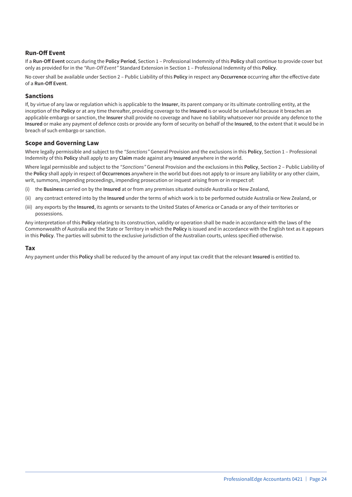#### **Run-Off Event**

If a **Run-Off Event** occurs during the **Policy Period**, Section 1 – Professional Indemnity of this **Policy** shall continue to provide cover but only as provided for in the *"Run-Off Event"* Standard Extension in Section 1 – Professional Indemnity of this **Policy**.

No cover shall be available under Section 2 – Public Liability of this **Policy** in respect any **Occurrence** occurring after the effective date of a **Run-Off Event**.

#### **Sanctions**

If, by virtue of any law or regulation which is applicable to the **Insurer**, its parent company or its ultimate controlling entity, at the inception of the **Policy** or at any time thereafter, providing coverage to the **Insured** is or would be unlawful because it breaches an applicable embargo or sanction, the **Insurer** shall provide no coverage and have no liability whatsoever nor provide any defence to the **Insured** or make any payment of defence costs or provide any form of security on behalf of the **Insured**, to the extent that it would be in breach of such embargo or sanction.

#### **Scope and Governing Law**

Where legally permissible and subject to the *"Sanctions"* General Provision and the exclusions in this **Policy**, Section 1 – Professional Indemnity of this **Policy** shall apply to any **Claim** made against any **Insured** anywhere in the world.

Where legal permissible and subject to the *"Sanctions"* General Provision and the exclusions in this **Policy**, Section 2 – Public Liability of the **Policy** shall apply in respect of **Occurrences** anywhere in the world but does not apply to or insure any liability or any other claim, writ, summons, impending proceedings, impending prosecution or inquest arising from or in respect of:

- (i) the **Business** carried on by the **Insured** at or from any premises situated outside Australia or New Zealand,
- (ii) any contract entered into by the **Insured** under the terms of which work is to be performed outside Australia or New Zealand, or
- (iii) any exports by the **Insured**, its agents or servants to the United States of America or Canada or any of their territories or possessions.

Any interpretation of this **Policy** relating to its construction, validity or operation shall be made in accordance with the laws of the Commonwealth of Australia and the State or Territory in which the **Policy** is issued and in accordance with the English text as it appears in this **Policy**. The parties will submit to the exclusive jurisdiction of the Australian courts, unless specified otherwise.

#### **Tax**

Any payment under this **Policy** shall be reduced by the amount of any input tax credit that the relevant **Insured** is entitled to.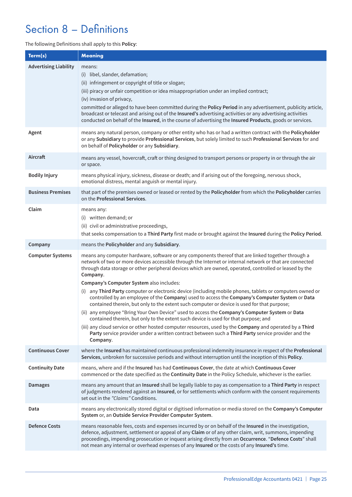## Section 8 – Definitions

#### The following Definitions shall apply to this **Policy**:

| Term(s)                      | <b>Meaning</b>                                                                                                                                                                                                                                                                                                                                                                                                                                                                                                                                                                                                                                                                                                                                                                                                                                                                                                                                                                                                                                                                                                         |
|------------------------------|------------------------------------------------------------------------------------------------------------------------------------------------------------------------------------------------------------------------------------------------------------------------------------------------------------------------------------------------------------------------------------------------------------------------------------------------------------------------------------------------------------------------------------------------------------------------------------------------------------------------------------------------------------------------------------------------------------------------------------------------------------------------------------------------------------------------------------------------------------------------------------------------------------------------------------------------------------------------------------------------------------------------------------------------------------------------------------------------------------------------|
| <b>Advertising Liability</b> | means:<br>(i) libel, slander, defamation;<br>(ii) infringement or copyright of title or slogan;<br>(iii) piracy or unfair competition or idea misappropriation under an implied contract;<br>(iv) invasion of privacy,<br>committed or alleged to have been committed during the Policy Period in any advertisement, publicity article,<br>broadcast or telecast and arising out of the Insured's advertising activities or any advertising activities<br>conducted on behalf of the Insured, in the course of advertising the Insured Products, goods or services.                                                                                                                                                                                                                                                                                                                                                                                                                                                                                                                                                    |
| Agent                        | means any natural person, company or other entity who has or had a written contract with the Policyholder<br>or any Subsidiary to provide Professional Services, but solely limited to such Professional Services for and<br>on behalf of Policyholder or any Subsidiary.                                                                                                                                                                                                                                                                                                                                                                                                                                                                                                                                                                                                                                                                                                                                                                                                                                              |
| Aircraft                     | means any vessel, hovercraft, craft or thing designed to transport persons or property in or through the air<br>or space.                                                                                                                                                                                                                                                                                                                                                                                                                                                                                                                                                                                                                                                                                                                                                                                                                                                                                                                                                                                              |
| <b>Bodily Injury</b>         | means physical injury, sickness, disease or death; and if arising out of the foregoing, nervous shock,<br>emotional distress, mental anguish or mental injury.                                                                                                                                                                                                                                                                                                                                                                                                                                                                                                                                                                                                                                                                                                                                                                                                                                                                                                                                                         |
| <b>Business Premises</b>     | that part of the premises owned or leased or rented by the Policyholder from which the Policyholder carries<br>on the Professional Services.                                                                                                                                                                                                                                                                                                                                                                                                                                                                                                                                                                                                                                                                                                                                                                                                                                                                                                                                                                           |
| Claim                        | means any:<br>(i) written demand; or<br>(ii) civil or administrative proceedings,<br>that seeks compensation to a Third Party first made or brought against the Insured during the Policy Period.                                                                                                                                                                                                                                                                                                                                                                                                                                                                                                                                                                                                                                                                                                                                                                                                                                                                                                                      |
| Company                      | means the Policyholder and any Subsidiary.                                                                                                                                                                                                                                                                                                                                                                                                                                                                                                                                                                                                                                                                                                                                                                                                                                                                                                                                                                                                                                                                             |
| <b>Computer Systems</b>      | means any computer hardware, software or any components thereof that are linked together through a<br>network of two or more devices accessible through the Internet or internal network or that are connected<br>through data storage or other peripheral devices which are owned, operated, controlled or leased by the<br>Company.<br>Company's Computer System also includes:<br>(i) any Third Party computer or electronic device (including mobile phones, tablets or computers owned or<br>controlled by an employee of the Company) used to access the Company's Computer System or Data<br>contained therein, but only to the extent such computer or device is used for that purpose;<br>(ii) any employee "Bring Your Own Device" used to access the Company's Computer System or Data<br>contained therein, but only to the extent such device is used for that purpose; and<br>(iii) any cloud service or other hosted computer resources, used by the Company and operated by a Third<br>Party service provider under a written contract between such a Third Party service provider and the<br>Company. |
| <b>Continuous Cover</b>      | where the Insured has maintained continuous professional indemnity insurance in respect of the Professional<br>Services, unbroken for successive periods and without interruption until the inception of this Policy.                                                                                                                                                                                                                                                                                                                                                                                                                                                                                                                                                                                                                                                                                                                                                                                                                                                                                                  |
| <b>Continuity Date</b>       | means, where and if the Insured has had Continuous Cover, the date at which Continuous Cover<br>commenced or the date specified as the Continuity Date in the Policy Schedule, whichever is the earlier.                                                                                                                                                                                                                                                                                                                                                                                                                                                                                                                                                                                                                                                                                                                                                                                                                                                                                                               |
| <b>Damages</b>               | means any amount that an Insured shall be legally liable to pay as compensation to a Third Party in respect<br>of judgments rendered against an Insured, or for settlements which conform with the consent requirements<br>set out in the "Claims" Conditions.                                                                                                                                                                                                                                                                                                                                                                                                                                                                                                                                                                                                                                                                                                                                                                                                                                                         |
| Data                         | means any electronically stored digital or digitised information or media stored on the Company's Computer<br>System or, an Outside Service Provider Computer System.                                                                                                                                                                                                                                                                                                                                                                                                                                                                                                                                                                                                                                                                                                                                                                                                                                                                                                                                                  |
| <b>Defence Costs</b>         | means reasonable fees, costs and expenses incurred by or on behalf of the Insured in the investigation,<br>defence, adjustment, settlement or appeal of any Claim or of any other claim, writ, summons, impending<br>proceedings, impending prosecution or inquest arising directly from an Occurrence. "Defence Costs" shall<br>not mean any internal or overhead expenses of any Insured or the costs of any Insured's time.                                                                                                                                                                                                                                                                                                                                                                                                                                                                                                                                                                                                                                                                                         |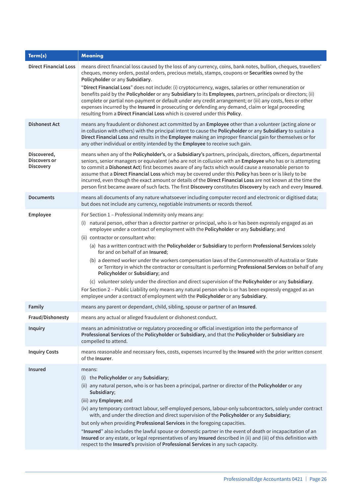| Term(s)                                         | <b>Meaning</b>                                                                                                                                                                                                                                                                                                                                                                                                                                                                                                                                                                                                                                                                   |
|-------------------------------------------------|----------------------------------------------------------------------------------------------------------------------------------------------------------------------------------------------------------------------------------------------------------------------------------------------------------------------------------------------------------------------------------------------------------------------------------------------------------------------------------------------------------------------------------------------------------------------------------------------------------------------------------------------------------------------------------|
| <b>Direct Financial Loss</b>                    | means direct financial loss caused by the loss of any currency, coins, bank notes, bullion, cheques, travellers'<br>cheques, money orders, postal orders, precious metals, stamps, coupons or Securities owned by the<br>Policyholder or any Subsidiary.                                                                                                                                                                                                                                                                                                                                                                                                                         |
|                                                 | "Direct Financial Loss" does not include: (i) cryptocurrency, wages, salaries or other remuneration or<br>benefits paid by the Policyholder or any Subsidiary to its Employees, partners, principals or directors; (ii)<br>complete or partial non-payment or default under any credit arrangement; or (iii) any costs, fees or other<br>expenses incurred by the Insured in prosecuting or defending any demand, claim or legal proceeding<br>resulting from a Direct Financial Loss which is covered under this Policy.                                                                                                                                                        |
| <b>Dishonest Act</b>                            | means any fraudulent or dishonest act committed by an Employee other than a volunteer (acting alone or<br>in collusion with others) with the principal intent to cause the Policyholder or any Subsidiary to sustain a<br>Direct Financial Loss and results in the Employee making an improper financial gain for themselves or for<br>any other individual or entity intended by the Employee to receive such gain.                                                                                                                                                                                                                                                             |
| Discovered,<br>Discovers or<br><b>Discovery</b> | means when any of the Policyholder's, or a Subsidiary's partners, principals, directors, officers, departmental<br>seniors, senior managers or equivalent (who are not in collusion with an Employee who has or is attempting<br>to commit a Dishonest Act) first becomes aware of any facts which would cause a reasonable person to<br>assume that a Direct Financial Loss which may be covered under this Policy has been or is likely to be<br>incurred, even though the exact amount or details of the Direct Financial Loss are not known at the time the<br>person first became aware of such facts. The first Discovery constitutes Discovery by each and every Insured. |
| <b>Documents</b>                                | means all documents of any nature whatsoever including computer record and electronic or digitised data;<br>but does not include any currency, negotiable instruments or records thereof.                                                                                                                                                                                                                                                                                                                                                                                                                                                                                        |
| Employee                                        | For Section 1 - Professional Indemnity only means any:                                                                                                                                                                                                                                                                                                                                                                                                                                                                                                                                                                                                                           |
|                                                 | (i) natural person, other than a director partner or principal, who is or has been expressly engaged as an<br>employee under a contract of employment with the Policyholder or any Subsidiary; and                                                                                                                                                                                                                                                                                                                                                                                                                                                                               |
|                                                 | (ii) contractor or consultant who:<br>(a) has a written contract with the Policyholder or Subsidiary to perform Professional Services solely<br>for and on behalf of an Insured;                                                                                                                                                                                                                                                                                                                                                                                                                                                                                                 |
|                                                 | (b) a deemed worker under the workers compensation laws of the Commonwealth of Australia or State<br>or Territory in which the contractor or consultant is performing Professional Services on behalf of any<br>Policyholder or Subsidiary; and                                                                                                                                                                                                                                                                                                                                                                                                                                  |
|                                                 | (c) volunteer solely under the direction and direct supervision of the Policyholder or any Subsidiary.                                                                                                                                                                                                                                                                                                                                                                                                                                                                                                                                                                           |
|                                                 | For Section 2 – Public Liability only means any natural person who is or has been expressly engaged as an<br>employee under a contract of employment with the Policyholder or any Subsidiary.                                                                                                                                                                                                                                                                                                                                                                                                                                                                                    |
| Family                                          | means any parent or dependant, child, sibling, spouse or partner of an Insured.                                                                                                                                                                                                                                                                                                                                                                                                                                                                                                                                                                                                  |
| <b>Fraud/Dishonesty</b>                         | means any actual or alleged fraudulent or dishonest conduct.                                                                                                                                                                                                                                                                                                                                                                                                                                                                                                                                                                                                                     |
| <b>Inquiry</b>                                  | means an administrative or regulatory proceeding or official investigation into the performance of<br>Professional Services of the Policyholder or Subsidiary, and that the Policyholder or Subsidiary are<br>compelled to attend.                                                                                                                                                                                                                                                                                                                                                                                                                                               |
| <b>Inquiry Costs</b>                            | means reasonable and necessary fees, costs, expenses incurred by the Insured with the prior written consent<br>of the <b>Insurer</b> .                                                                                                                                                                                                                                                                                                                                                                                                                                                                                                                                           |
| <b>Insured</b>                                  | means:<br>(i) the Policyholder or any Subsidiary;<br>(ii) any natural person, who is or has been a principal, partner or director of the Policyholder or any                                                                                                                                                                                                                                                                                                                                                                                                                                                                                                                     |
|                                                 | Subsidiary;                                                                                                                                                                                                                                                                                                                                                                                                                                                                                                                                                                                                                                                                      |
|                                                 | (iii) any Employee; and<br>(iv) any temporary contract labour, self-employed persons, labour-only subcontractors, solely under contract                                                                                                                                                                                                                                                                                                                                                                                                                                                                                                                                          |
|                                                 | with, and under the direction and direct supervision of the Policyholder or any Subsidiary;                                                                                                                                                                                                                                                                                                                                                                                                                                                                                                                                                                                      |
|                                                 | but only when providing Professional Services in the foregoing capacities.                                                                                                                                                                                                                                                                                                                                                                                                                                                                                                                                                                                                       |
|                                                 | "Insured" also includes the lawful spouse or domestic partner in the event of death or incapacitation of an<br>Insured or any estate, or legal representatives of any Insured described in (ii) and (iii) of this definition with<br>respect to the Insured's provision of Professional Services in any such capacity.                                                                                                                                                                                                                                                                                                                                                           |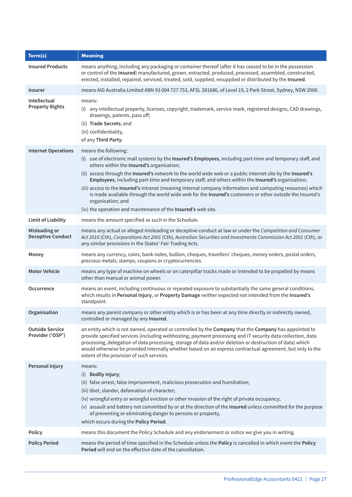| Term(s)                                    | <b>Meaning</b>                                                                                                                                                                                                                                                                                                                                                                                                                                                                                                                                                                                                                                                                                                      |
|--------------------------------------------|---------------------------------------------------------------------------------------------------------------------------------------------------------------------------------------------------------------------------------------------------------------------------------------------------------------------------------------------------------------------------------------------------------------------------------------------------------------------------------------------------------------------------------------------------------------------------------------------------------------------------------------------------------------------------------------------------------------------|
| <b>Insured Products</b>                    | means anything, including any packaging or container thereof (after it has ceased to be in the possession<br>or control of the Insured) manufactured, grown, extracted, produced, processed, assembled, constructed,<br>erected, installed, repaired, serviced, treated, sold, supplied, resupplied or distributed by the Insured.                                                                                                                                                                                                                                                                                                                                                                                  |
| Insurer                                    | means AIG Australia Limited ABN 93 004 727 753, AFSL 381686, of Level 19, 2 Park Street, Sydney, NSW 2000.                                                                                                                                                                                                                                                                                                                                                                                                                                                                                                                                                                                                          |
| Intellectual<br><b>Property Rights</b>     | means:<br>(i) any intellectual property, licenses, copyright, trademark, service mark, registered designs, CAD drawings,<br>drawings, patents, pass off;<br>(ii) Trade Secrets; and<br>(iii) confidentiality,<br>of any Third Party.                                                                                                                                                                                                                                                                                                                                                                                                                                                                                |
| <b>Internet Operations</b>                 | means the following:<br>(i) use of electronic mail systems by the Insured's Employees, including part-time and temporary staff, and<br>others within the Insured's organisation;<br>(ii) access through the Insured's network to the world wide web or a public internet site by the Insured's<br>Employees, including part-time and temporary staff, and others within the Insured's organisation;<br>(iii) access to the Insured's intranet (meaning internal company information and computing resources) which<br>is made available through the world wide web for the Insured's customers or other outside the Insured's<br>organisation; and<br>(iv) the operation and maintenance of the Insured's web site. |
| <b>Limit of Liability</b>                  | means the amount specified as such in the Schedule.                                                                                                                                                                                                                                                                                                                                                                                                                                                                                                                                                                                                                                                                 |
| Misleading or<br><b>Deceptive Conduct</b>  | means any actual or alleged misleading or deceptive conduct at law or under the Competition and Consumer<br>Act 2010 (Cth), Corporations Act 2001 (Cth), Australian Securities and Investments Commission Act 2001 (Cth), or<br>any similar provisions in the States' Fair Trading Acts.                                                                                                                                                                                                                                                                                                                                                                                                                            |
| Money                                      | means any currency, coins, bank notes, bullion, cheques, travellers' cheques, money orders, postal orders,<br>precious metals, stamps, coupons or cryptocurrencies.                                                                                                                                                                                                                                                                                                                                                                                                                                                                                                                                                 |
| <b>Motor Vehicle</b>                       | means any type of machine on wheels or on caterpillar tracks made or intended to be propelled by means<br>other than manual or animal power.                                                                                                                                                                                                                                                                                                                                                                                                                                                                                                                                                                        |
| Occurrence                                 | means an event, including continuous or repeated exposure to substantially the same general conditions,<br>which results in Personal Injury, or Property Damage neither expected not intended from the Insured's<br>standpoint.                                                                                                                                                                                                                                                                                                                                                                                                                                                                                     |
| Organisation                               | means any parent company or other entity which is or has been at any time directly or indirectly owned,<br>controlled or managed by any Insured.                                                                                                                                                                                                                                                                                                                                                                                                                                                                                                                                                                    |
| <b>Outside Service</b><br>Provider ('OSP') | an entity which is not owned, operated or controlled by the Company that the Company has appointed to<br>provide specified services (including webhosting, payment processing and IT security data collection, data<br>processing, delegation of data processing, storage of data and/or deletion or destruction of data) which<br>would otherwise be provided internally whether based on an express contractual agreement, but only to the<br>extent of the provision of such services.                                                                                                                                                                                                                           |
| Personal Injury                            | means:<br>(i) Bodily Injury;<br>(ii) false arrest, false imprisonment, malicious prosecution and humiliation;<br>(iii) libel, slander, defamation of character;<br>(iv) wrongful entry or wrongful eviction or other invasion of the right of private occupancy;<br>(v) assault and battery not committed by or at the direction of the Insured unless committed for the purpose<br>of preventing or eliminating danger to persons or property,<br>which occurs during the Policy Period.                                                                                                                                                                                                                           |
| Policy                                     | means this document the Policy Schedule and any endorsement or notice we give you in writing.                                                                                                                                                                                                                                                                                                                                                                                                                                                                                                                                                                                                                       |
| <b>Policy Period</b>                       | means the period of time specified in the Schedule unless the Policy is cancelled in which event the Policy<br>Period will end on the effective date of the cancellation.                                                                                                                                                                                                                                                                                                                                                                                                                                                                                                                                           |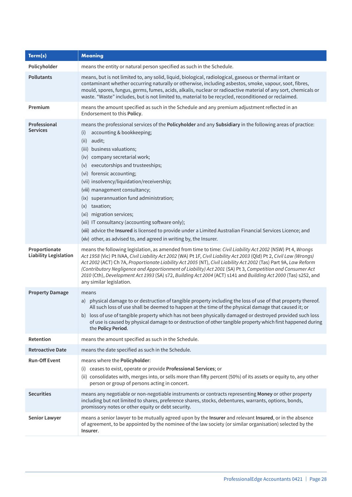| Term(s)                                       | Meaning                                                                                                                                                                                                                                                                                                                                                                                                                                                                                                                                                                                                                                                                                                                      |
|-----------------------------------------------|------------------------------------------------------------------------------------------------------------------------------------------------------------------------------------------------------------------------------------------------------------------------------------------------------------------------------------------------------------------------------------------------------------------------------------------------------------------------------------------------------------------------------------------------------------------------------------------------------------------------------------------------------------------------------------------------------------------------------|
| Policyholder                                  | means the entity or natural person specified as such in the Schedule.                                                                                                                                                                                                                                                                                                                                                                                                                                                                                                                                                                                                                                                        |
| <b>Pollutants</b>                             | means, but is not limited to, any solid, liquid, biological, radiological, gaseous or thermal irritant or<br>contaminant whether occurring naturally or otherwise, including asbestos, smoke, vapour, soot, fibres,<br>mould, spores, fungus, germs, fumes, acids, alkalis, nuclear or radioactive material of any sort, chemicals or<br>waste. "Waste" includes, but is not limited to, material to be recycled, reconditioned or reclaimed.                                                                                                                                                                                                                                                                                |
| Premium                                       | means the amount specified as such in the Schedule and any premium adjustment reflected in an<br>Endorsement to this Policy.                                                                                                                                                                                                                                                                                                                                                                                                                                                                                                                                                                                                 |
| Professional<br><b>Services</b>               | means the professional services of the Policyholder and any Subsidiary in the following areas of practice:<br>accounting & bookkeeping;<br>(i)<br>(ii)<br>audit;<br>(iii) business valuations;<br>(iv) company secretarial work;<br>executorships and trusteeships;<br>(v)<br>(vi) forensic accounting;<br>(vii) insolvency/liquidation/receivership;<br>(viii) management consultancy;<br>(ix) superannuation fund administration;<br>taxation;<br>(x)<br>(xi) migration services;<br>(xii) IT consultancy (accounting software only);<br>(xiii) advice the Insured is licensed to provide under a Limited Australian Financial Services Licence; and<br>(xiv) other, as advised to, and agreed in writing by, the Insurer. |
| Proportionate<br><b>Liability Legislation</b> | means the following legislation, as amended from time to time: Civil Liability Act 2002 (NSW) Pt 4, Wrongs<br>Act 1958 (Vic) Pt IVAA, Civil Liability Act 2002 (WA) Pt 1F, Civil Liability Act 2003 (Qld) Pt 2, Civil Law (Wrongs)<br>Act 2002 (ACT) Ch 7A, Proportionate Liability Act 2005 (NT), Civil Liability Act 2002 (Tas) Part 9A, Law Reform<br>(Contributory Negligence and Apportionment of Liability) Act 2001 (SA) Pt 3, Competition and Consumer Act<br>2010 (Cth), Development Act 1993 (SA) s72, Building Act 2004 (ACT) s141 and Building Act 2000 (Tas) s252, and<br>any similar legislation.                                                                                                              |
| <b>Property Damage</b>                        | means<br>a) physical damage to or destruction of tangible property including the loss of use of that property thereof.<br>All such loss of use shall be deemed to happen at the time of the physical damage that caused it; or<br>b) loss of use of tangible property which has not been physically damaged or destroyed provided such loss<br>of use is caused by physical damage to or destruction of other tangible property which first happened during<br>the Policy Period.                                                                                                                                                                                                                                            |
| Retention                                     | means the amount specified as such in the Schedule.                                                                                                                                                                                                                                                                                                                                                                                                                                                                                                                                                                                                                                                                          |
| <b>Retroactive Date</b>                       | means the date specified as such in the Schedule.                                                                                                                                                                                                                                                                                                                                                                                                                                                                                                                                                                                                                                                                            |
| <b>Run-Off Event</b>                          | means where the Policyholder:<br>(i) ceases to exist, operate or provide Professional Services; or<br>(ii) consolidates with, merges into, or sells more than fifty percent (50%) of its assets or equity to, any other<br>person or group of persons acting in concert.                                                                                                                                                                                                                                                                                                                                                                                                                                                     |
| <b>Securities</b>                             | means any negotiable or non-negotiable instruments or contracts representing Money or other property<br>including but not limited to shares, preference shares, stocks, debentures, warrants, options, bonds,<br>promissory notes or other equity or debt security.                                                                                                                                                                                                                                                                                                                                                                                                                                                          |
| Senior Lawyer                                 | means a senior lawyer to be mutually agreed upon by the Insurer and relevant Insured, or in the absence<br>of agreement, to be appointed by the nominee of the law society (or similar organisation) selected by the<br>Insurer.                                                                                                                                                                                                                                                                                                                                                                                                                                                                                             |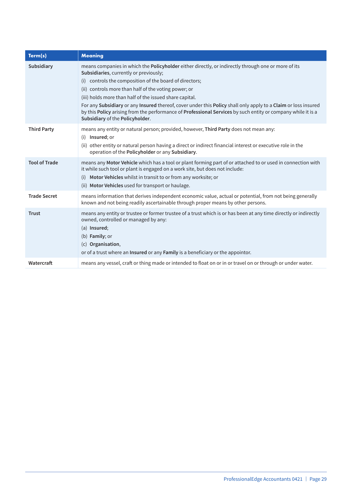| Term(s)              | <b>Meaning</b>                                                                                                                                                                                                                                                                                                           |
|----------------------|--------------------------------------------------------------------------------------------------------------------------------------------------------------------------------------------------------------------------------------------------------------------------------------------------------------------------|
| Subsidiary           | means companies in which the Policyholder either directly, or indirectly through one or more of its<br>Subsidiaries, currently or previously;                                                                                                                                                                            |
|                      | controls the composition of the board of directors;<br>(i)                                                                                                                                                                                                                                                               |
|                      | (ii) controls more than half of the voting power; or                                                                                                                                                                                                                                                                     |
|                      | (iii) holds more than half of the issued share capital.                                                                                                                                                                                                                                                                  |
|                      | For any Subsidiary or any Insured thereof, cover under this Policy shall only apply to a Claim or loss insured<br>by this Policy arising from the performance of Professional Services by such entity or company while it is a<br>Subsidiary of the Policyholder.                                                        |
| <b>Third Party</b>   | means any entity or natural person; provided, however, Third Party does not mean any:<br>(i) Insured; or                                                                                                                                                                                                                 |
|                      | (ii) other entity or natural person having a direct or indirect financial interest or executive role in the<br>operation of the Policyholder or any Subsidiary.                                                                                                                                                          |
| <b>Tool of Trade</b> | means any Motor Vehicle which has a tool or plant forming part of or attached to or used in connection with<br>it while such tool or plant is engaged on a work site, but does not include:<br>Motor Vehicles whilst in transit to or from any worksite; or<br>(i)<br>(ii) Motor Vehicles used for transport or haulage. |
| <b>Trade Secret</b>  | means information that derives independent economic value, actual or potential, from not being generally<br>known and not being readily ascertainable through proper means by other persons.                                                                                                                             |
| <b>Trust</b>         | means any entity or trustee or former trustee of a trust which is or has been at any time directly or indirectly<br>owned, controlled or managed by any:<br>$(a)$ Insured;<br>(b) Family; or<br>(c) Organisation,<br>or of a trust where an Insured or any Family is a beneficiary or the appointor.                     |
| Watercraft           | means any vessel, craft or thing made or intended to float on or in or travel on or through or under water.                                                                                                                                                                                                              |